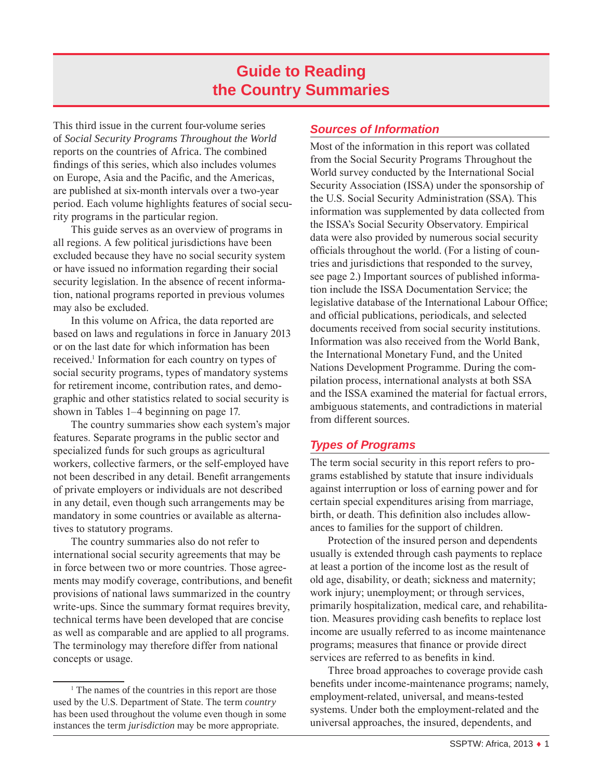# **Guide to Reading the Country Summaries**

This third issue in the current four-volume series of *Social Security Programs Throughout the World* reports on the countries of Africa. The combined findings of this series, which also includes volumes on Europe, Asia and the Pacific, and the Americas, are published at six-month intervals over a two-year period. Each volume highlights features of social security programs in the particular region.

This guide serves as an overview of programs in all regions. A few political jurisdictions have been excluded because they have no social security system or have issued no information regarding their social security legislation. In the absence of recent information, national programs reported in previous volumes may also be excluded.

In this volume on Africa, the data reported are based on laws and regulations in force in January 2013 or on the last date for which information has been received.<sup>1</sup> Information for each country on types of social security programs, types of mandatory systems for retirement income, contribution rates, and demographic and other statistics related to social security is shown in Tables 1–4 beginning on page 17.

The country summaries show each system's major features. Separate programs in the public sector and specialized funds for such groups as agricultural workers, collective farmers, or the self-employed have not been described in any detail. Benefit arrangements of private employers or individuals are not described in any detail, even though such arrangements may be mandatory in some countries or available as alternatives to statutory programs.

The country summaries also do not refer to international social security agreements that may be in force between two or more countries. Those agreements may modify coverage, contributions, and benefit provisions of national laws summarized in the country write-ups. Since the summary format requires brevity, technical terms have been developed that are concise as well as comparable and are applied to all programs. The terminology may therefore differ from national concepts or usage.

### *Sources of Information*

Most of the information in this report was collated from the Social Security Programs Throughout the World survey conducted by the International Social Security Association (ISSA) under the sponsorship of the U.S. Social Security Administration (SSA). This information was supplemented by data collected from the ISSA's Social Security Observatory. Empirical data were also provided by numerous social security officials throughout the world. (For a listing of countries and jurisdictions that responded to the survey, see page 2.) Important sources of published information include the ISSA Documentation Service; the legislative database of the International Labour Office; and official publications, periodicals, and selected documents received from social security institutions. Information was also received from the World Bank, the International Monetary Fund, and the United Nations Development Programme. During the compilation process, international analysts at both SSA and the ISSA examined the material for factual errors, ambiguous statements, and contradictions in material from different sources.

# *Types of Programs*

The term social security in this report refers to programs established by statute that insure individuals against interruption or loss of earning power and for certain special expenditures arising from marriage, birth, or death. This definition also includes allowances to families for the support of children.

Protection of the insured person and dependents usually is extended through cash payments to replace at least a portion of the income lost as the result of old age, disability, or death; sickness and maternity; work injury; unemployment; or through services, primarily hospitalization, medical care, and rehabilitation. Measures providing cash benefits to replace lost income are usually referred to as income maintenance programs; measures that finance or provide direct services are referred to as benefits in kind.

Three broad approaches to coverage provide cash benefits under income-maintenance programs; namely, employment-related, universal, and means-tested systems. Under both the employment-related and the universal approaches, the insured, dependents, and

<sup>&</sup>lt;sup>1</sup> The names of the countries in this report are those used by the U.S. Department of State. The term *country* has been used throughout the volume even though in some instances the term *jurisdiction* may be more appropriate.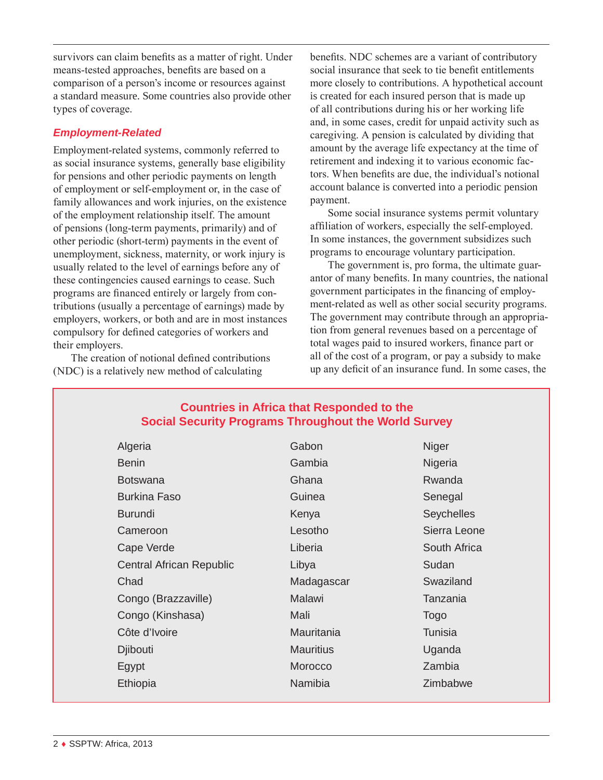survivors can claim benefits as a matter of right. Under means-tested approaches, benefits are based on a comparison of a person's income or resources against a standard measure. Some countries also provide other types of coverage.

### *Employment-Related*

Employment-related systems, commonly referred to as social insurance systems, generally base eligibility for pensions and other periodic payments on length of employment or self-employment or, in the case of family allowances and work injuries, on the existence of the employment relationship itself. The amount of pensions (long-term payments, primarily) and of other periodic (short-term) payments in the event of unemployment, sickness, maternity, or work injury is usually related to the level of earnings before any of these contingencies caused earnings to cease. Such programs are financed entirely or largely from contributions (usually a percentage of earnings) made by employers, workers, or both and are in most instances compulsory for defined categories of workers and their employers.

The creation of notional defined contributions (NDC) is a relatively new method of calculating

benefits. NDC schemes are a variant of contributory social insurance that seek to tie benefit entitlements more closely to contributions. A hypothetical account is created for each insured person that is made up of all contributions during his or her working life and, in some cases, credit for unpaid activity such as caregiving. A pension is calculated by dividing that amount by the average life expectancy at the time of retirement and indexing it to various economic factors. When benefits are due, the individual's notional account balance is converted into a periodic pension payment.

Some social insurance systems permit voluntary affiliation of workers, especially the self-employed. In some instances, the government subsidizes such programs to encourage voluntary participation.

The government is, pro forma, the ultimate guarantor of many benefits. In many countries, the national government participates in the financing of employment-related as well as other social security programs. The government may contribute through an appropriation from general revenues based on a percentage of total wages paid to insured workers, finance part or all of the cost of a program, or pay a subsidy to make up any deficit of an insurance fund. In some cases, the

# **Countries in Africa that Responded to the Social Security Programs Throughout the World Survey**

| Algeria                  | Gabon            | Niger             |
|--------------------------|------------------|-------------------|
| <b>Benin</b>             | Gambia           | Nigeria           |
| <b>Botswana</b>          | Ghana            | Rwanda            |
| <b>Burkina Faso</b>      | Guinea           | Senegal           |
| <b>Burundi</b>           | Kenya            | <b>Seychelles</b> |
| Cameroon                 | Lesotho          | Sierra Leone      |
| Cape Verde               | Liberia          | South Africa      |
| Central African Republic | Libya            | Sudan             |
| Chad                     | Madagascar       | Swaziland         |
| Congo (Brazzaville)      | Malawi           | Tanzania          |
| Congo (Kinshasa)         | Mali             | Togo              |
| Côte d'Ivoire            | Mauritania       | <b>Tunisia</b>    |
| <b>Djibouti</b>          | <b>Mauritius</b> | Uganda            |
| Egypt                    | Morocco          | Zambia            |
| Ethiopia                 | Namibia          | Zimbabwe          |
|                          |                  |                   |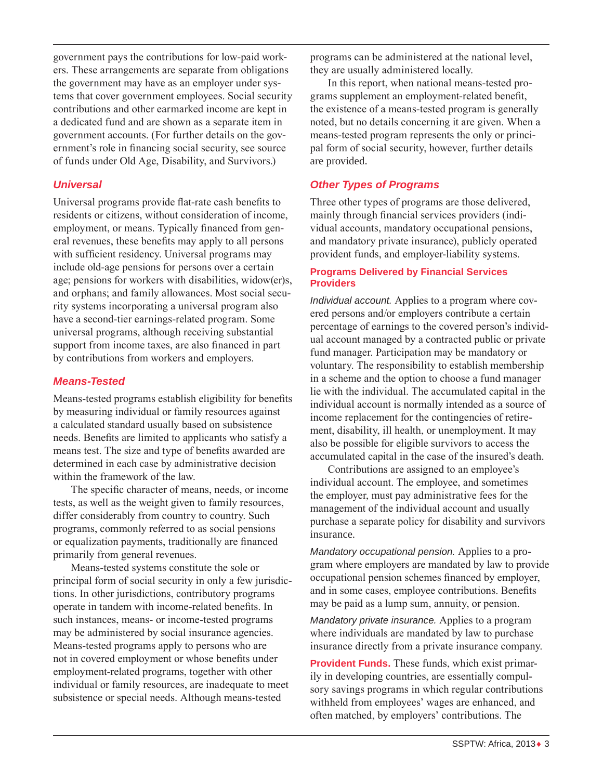government pays the contributions for low-paid workers. These arrangements are separate from obligations the government may have as an employer under systems that cover government employees. Social security contributions and other earmarked income are kept in a dedicated fund and are shown as a separate item in government accounts. (For further details on the government's role in financing social security, see source of funds under Old Age, Disability, and Survivors.)

#### *Universal*

Universal programs provide flat-rate cash benefits to residents or citizens, without consideration of income, employment, or means. Typically financed from general revenues, these benefits may apply to all persons with sufficient residency. Universal programs may include old-age pensions for persons over a certain age; pensions for workers with disabilities, widow(er)s, and orphans; and family allowances. Most social security systems incorporating a universal program also have a second-tier earnings-related program. Some universal programs, although receiving substantial support from income taxes, are also financed in part by contributions from workers and employers.

#### *Means-Tested*

Means-tested programs establish eligibility for benefits by measuring individual or family resources against a calculated standard usually based on subsistence needs. Benefits are limited to applicants who satisfy a means test. The size and type of benefits awarded are determined in each case by administrative decision within the framework of the law.

The specific character of means, needs, or income tests, as well as the weight given to family resources, differ considerably from country to country. Such programs, commonly referred to as social pensions or equalization payments, traditionally are financed primarily from general revenues.

Means-tested systems constitute the sole or principal form of social security in only a few jurisdictions. In other jurisdictions, contributory programs operate in tandem with income-related benefits. In such instances, means- or income-tested programs may be administered by social insurance agencies. Means-tested programs apply to persons who are not in covered employment or whose benefits under employment-related programs, together with other individual or family resources, are inadequate to meet subsistence or special needs. Although means-tested

programs can be administered at the national level, they are usually administered locally.

In this report, when national means-tested programs supplement an employment-related benefit, the existence of a means-tested program is generally noted, but no details concerning it are given. When a means-tested program represents the only or principal form of social security, however, further details are provided.

### *Other Types of Programs*

Three other types of programs are those delivered, mainly through financial services providers (individual accounts, mandatory occupational pensions, and mandatory private insurance), publicly operated provident funds, and employer-liability systems.

#### **Programs Delivered by Financial Services Providers**

*Individual account.* Applies to a program where covered persons and/or employers contribute a certain percentage of earnings to the covered person's individual account managed by a contracted public or private fund manager. Participation may be mandatory or voluntary. The responsibility to establish membership in a scheme and the option to choose a fund manager lie with the individual. The accumulated capital in the individual account is normally intended as a source of income replacement for the contingencies of retirement, disability, ill health, or unemployment. It may also be possible for eligible survivors to access the accumulated capital in the case of the insured's death.

Contributions are assigned to an employee's individual account. The employee, and sometimes the employer, must pay administrative fees for the management of the individual account and usually purchase a separate policy for disability and survivors insurance.

*Mandatory occupational pension.* Applies to a program where employers are mandated by law to provide occupational pension schemes financed by employer, and in some cases, employee contributions. Benefits may be paid as a lump sum, annuity, or pension.

*Mandatory private insurance.* Applies to a program where individuals are mandated by law to purchase insurance directly from a private insurance company.

**Provident Funds.** These funds, which exist primarily in developing countries, are essentially compulsory savings programs in which regular contributions withheld from employees' wages are enhanced, and often matched, by employers' contributions. The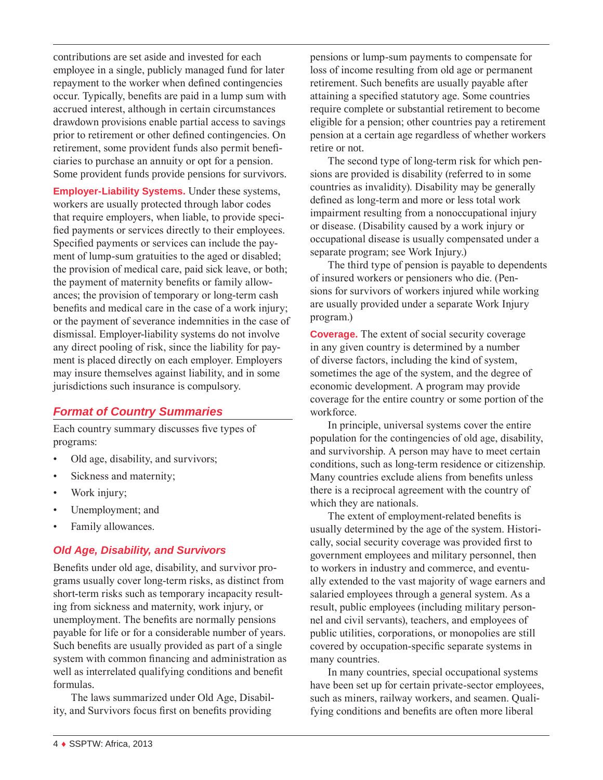contributions are set aside and invested for each employee in a single, publicly managed fund for later repayment to the worker when defined contingencies occur. Typically, benefits are paid in a lump sum with accrued interest, although in certain circumstances drawdown provisions enable partial access to savings prior to retirement or other defined contingencies. On retirement, some provident funds also permit beneficiaries to purchase an annuity or opt for a pension. Some provident funds provide pensions for survivors.

**Employer-Liability Systems.** Under these systems, workers are usually protected through labor codes that require employers, when liable, to provide specified payments or services directly to their employees. Specified payments or services can include the payment of lump-sum gratuities to the aged or disabled; the provision of medical care, paid sick leave, or both; the payment of maternity benefits or family allowances; the provision of temporary or long-term cash benefits and medical care in the case of a work injury; or the payment of severance indemnities in the case of dismissal. Employer-liability systems do not involve any direct pooling of risk, since the liability for payment is placed directly on each employer. Employers may insure themselves against liability, and in some jurisdictions such insurance is compulsory.

### *Format of Country Summaries*

Each country summary discusses five types of programs:

- Old age, disability, and survivors;
- Sickness and maternity;
- Work injury;
- Unemployment; and
- Family allowances.

### *Old Age, Disability, and Survivors*

Benefits under old age, disability, and survivor programs usually cover long-term risks, as distinct from short-term risks such as temporary incapacity resulting from sickness and maternity, work injury, or unemployment. The benefits are normally pensions payable for life or for a considerable number of years. Such benefits are usually provided as part of a single system with common financing and administration as well as interrelated qualifying conditions and benefit formulas.

The laws summarized under Old Age, Disability, and Survivors focus first on benefits providing

pensions or lump-sum payments to compensate for loss of income resulting from old age or permanent retirement. Such benefits are usually payable after attaining a specified statutory age. Some countries require complete or substantial retirement to become eligible for a pension; other countries pay a retirement pension at a certain age regardless of whether workers retire or not.

The second type of long-term risk for which pensions are provided is disability (referred to in some countries as invalidity). Disability may be generally defined as long-term and more or less total work impairment resulting from a nonoccupational injury or disease. (Disability caused by a work injury or occupational disease is usually compensated under a separate program; see Work Injury.)

The third type of pension is payable to dependents of insured workers or pensioners who die. (Pensions for survivors of workers injured while working are usually provided under a separate Work Injury program.)

**Coverage.** The extent of social security coverage in any given country is determined by a number of diverse factors, including the kind of system, sometimes the age of the system, and the degree of economic development. A program may provide coverage for the entire country or some portion of the workforce.

In principle, universal systems cover the entire population for the contingencies of old age, disability, and survivorship. A person may have to meet certain conditions, such as long-term residence or citizenship. Many countries exclude aliens from benefits unless there is a reciprocal agreement with the country of which they are nationals.

The extent of employment-related benefits is usually determined by the age of the system. Historically, social security coverage was provided first to government employees and military personnel, then to workers in industry and commerce, and eventually extended to the vast majority of wage earners and salaried employees through a general system. As a result, public employees (including military personnel and civil servants), teachers, and employees of public utilities, corporations, or monopolies are still covered by occupation-specific separate systems in many countries.

In many countries, special occupational systems have been set up for certain private-sector employees, such as miners, railway workers, and seamen. Qualifying conditions and benefits are often more liberal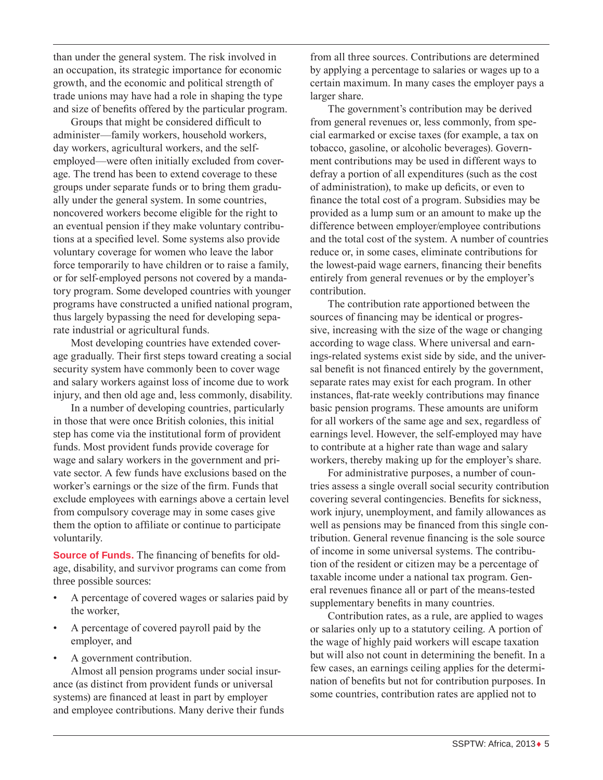than under the general system. The risk involved in an occupation, its strategic importance for economic growth, and the economic and political strength of trade unions may have had a role in shaping the type and size of benefits offered by the particular program.

Groups that might be considered difficult to administer—family workers, household workers, day workers, agricultural workers, and the selfemployed—were often initially excluded from coverage. The trend has been to extend coverage to these groups under separate funds or to bring them gradually under the general system. In some countries, noncovered workers become eligible for the right to an eventual pension if they make voluntary contributions at a specified level. Some systems also provide voluntary coverage for women who leave the labor force temporarily to have children or to raise a family, or for self-employed persons not covered by a mandatory program. Some developed countries with younger programs have constructed a unified national program, thus largely bypassing the need for developing separate industrial or agricultural funds.

Most developing countries have extended coverage gradually. Their first steps toward creating a social security system have commonly been to cover wage and salary workers against loss of income due to work injury, and then old age and, less commonly, disability.

In a number of developing countries, particularly in those that were once British colonies, this initial step has come via the institutional form of provident funds. Most provident funds provide coverage for wage and salary workers in the government and private sector. A few funds have exclusions based on the worker's earnings or the size of the firm. Funds that exclude employees with earnings above a certain level from compulsory coverage may in some cases give them the option to affiliate or continue to participate voluntarily.

**Source of Funds.** The financing of benefits for oldage, disability, and survivor programs can come from three possible sources:

- A percentage of covered wages or salaries paid by the worker,
- A percentage of covered payroll paid by the employer, and
- A government contribution.

Almost all pension programs under social insurance (as distinct from provident funds or universal systems) are financed at least in part by employer and employee contributions. Many derive their funds from all three sources. Contributions are determined by applying a percentage to salaries or wages up to a certain maximum. In many cases the employer pays a larger share.

The government's contribution may be derived from general revenues or, less commonly, from special earmarked or excise taxes (for example, a tax on tobacco, gasoline, or alcoholic beverages). Government contributions may be used in different ways to defray a portion of all expenditures (such as the cost of administration), to make up deficits, or even to finance the total cost of a program. Subsidies may be provided as a lump sum or an amount to make up the difference between employer/employee contributions and the total cost of the system. A number of countries reduce or, in some cases, eliminate contributions for the lowest-paid wage earners, financing their benefits entirely from general revenues or by the employer's contribution.

The contribution rate apportioned between the sources of financing may be identical or progressive, increasing with the size of the wage or changing according to wage class. Where universal and earnings-related systems exist side by side, and the universal benefit is not financed entirely by the government, separate rates may exist for each program. In other instances, flat-rate weekly contributions may finance basic pension programs. These amounts are uniform for all workers of the same age and sex, regardless of earnings level. However, the self-employed may have to contribute at a higher rate than wage and salary workers, thereby making up for the employer's share.

For administrative purposes, a number of countries assess a single overall social security contribution covering several contingencies. Benefits for sickness, work injury, unemployment, and family allowances as well as pensions may be financed from this single contribution. General revenue financing is the sole source of income in some universal systems. The contribution of the resident or citizen may be a percentage of taxable income under a national tax program. General revenues finance all or part of the means-tested supplementary benefits in many countries.

Contribution rates, as a rule, are applied to wages or salaries only up to a statutory ceiling. A portion of the wage of highly paid workers will escape taxation but will also not count in determining the benefit. In a few cases, an earnings ceiling applies for the determination of benefits but not for contribution purposes. In some countries, contribution rates are applied not to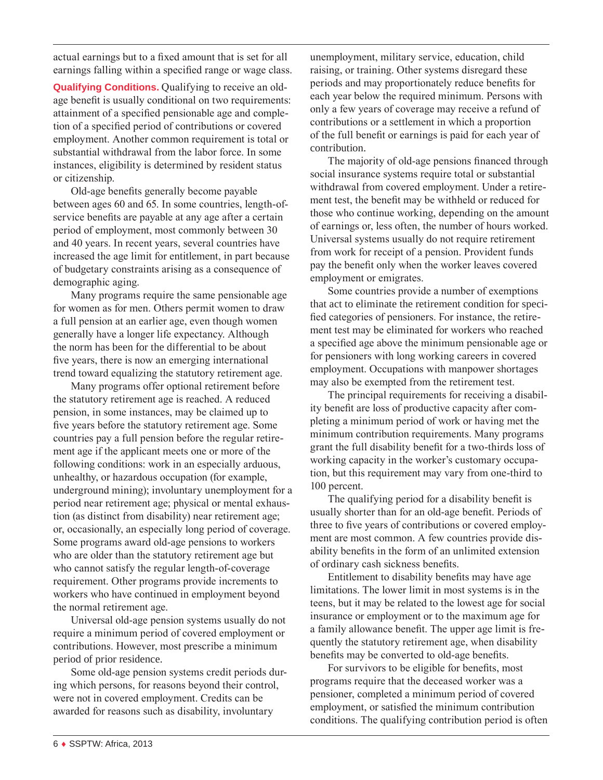actual earnings but to a fixed amount that is set for all earnings falling within a specified range or wage class.

**Qualifying Conditions.** Qualifying to receive an oldage benefit is usually conditional on two requirements: attainment of a specified pensionable age and completion of a specified period of contributions or covered employment. Another common requirement is total or substantial withdrawal from the labor force. In some instances, eligibility is determined by resident status or citizenship.

Old-age benefits generally become payable between ages 60 and 65. In some countries, length-ofservice benefits are payable at any age after a certain period of employment, most commonly between 30 and 40 years. In recent years, several countries have increased the age limit for entitlement, in part because of budgetary constraints arising as a consequence of demographic aging.

Many programs require the same pensionable age for women as for men. Others permit women to draw a full pension at an earlier age, even though women generally have a longer life expectancy. Although the norm has been for the differential to be about five years, there is now an emerging international trend toward equalizing the statutory retirement age.

Many programs offer optional retirement before the statutory retirement age is reached. A reduced pension, in some instances, may be claimed up to five years before the statutory retirement age. Some countries pay a full pension before the regular retirement age if the applicant meets one or more of the following conditions: work in an especially arduous, unhealthy, or hazardous occupation (for example, underground mining); involuntary unemployment for a period near retirement age; physical or mental exhaustion (as distinct from disability) near retirement age; or, occasionally, an especially long period of coverage. Some programs award old-age pensions to workers who are older than the statutory retirement age but who cannot satisfy the regular length-of-coverage requirement. Other programs provide increments to workers who have continued in employment beyond the normal retirement age.

Universal old-age pension systems usually do not require a minimum period of covered employment or contributions. However, most prescribe a minimum period of prior residence.

Some old-age pension systems credit periods during which persons, for reasons beyond their control, were not in covered employment. Credits can be awarded for reasons such as disability, involuntary

unemployment, military service, education, child raising, or training. Other systems disregard these periods and may proportionately reduce benefits for each year below the required minimum. Persons with only a few years of coverage may receive a refund of contributions or a settlement in which a proportion of the full benefit or earnings is paid for each year of contribution.

The majority of old-age pensions financed through social insurance systems require total or substantial withdrawal from covered employment. Under a retirement test, the benefit may be withheld or reduced for those who continue working, depending on the amount of earnings or, less often, the number of hours worked. Universal systems usually do not require retirement from work for receipt of a pension. Provident funds pay the benefit only when the worker leaves covered employment or emigrates.

Some countries provide a number of exemptions that act to eliminate the retirement condition for specified categories of pensioners. For instance, the retirement test may be eliminated for workers who reached a specified age above the minimum pensionable age or for pensioners with long working careers in covered employment. Occupations with manpower shortages may also be exempted from the retirement test.

The principal requirements for receiving a disability benefit are loss of productive capacity after completing a minimum period of work or having met the minimum contribution requirements. Many programs grant the full disability benefit for a two-thirds loss of working capacity in the worker's customary occupation, but this requirement may vary from one-third to 100 percent.

The qualifying period for a disability benefit is usually shorter than for an old-age benefit. Periods of three to five years of contributions or covered employment are most common. A few countries provide disability benefits in the form of an unlimited extension of ordinary cash sickness benefits.

Entitlement to disability benefits may have age limitations. The lower limit in most systems is in the teens, but it may be related to the lowest age for social insurance or employment or to the maximum age for a family allowance benefit. The upper age limit is frequently the statutory retirement age, when disability benefits may be converted to old-age benefits.

For survivors to be eligible for benefits, most programs require that the deceased worker was a pensioner, completed a minimum period of covered employment, or satisfied the minimum contribution conditions. The qualifying contribution period is often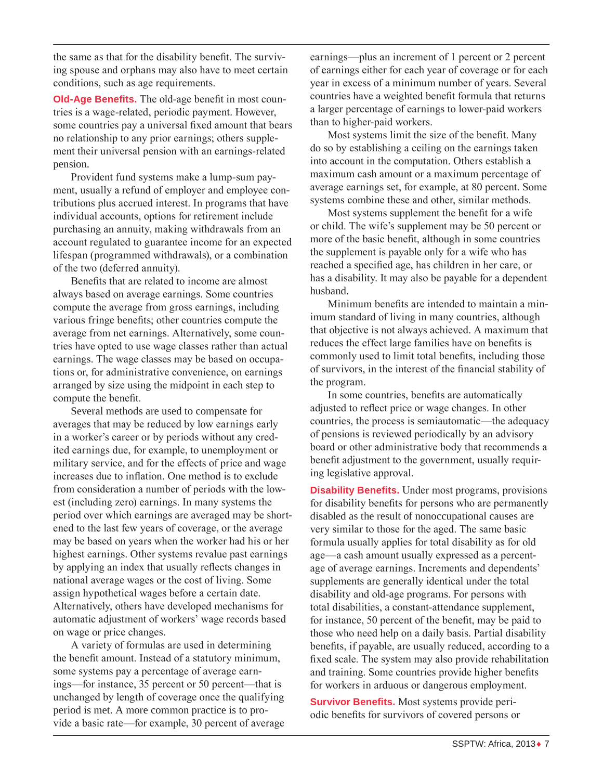the same as that for the disability benefit. The surviving spouse and orphans may also have to meet certain conditions, such as age requirements.

**Old-Age Benefits.** The old-age benefit in most countries is a wage-related, periodic payment. However, some countries pay a universal fixed amount that bears no relationship to any prior earnings; others supplement their universal pension with an earnings-related pension.

Provident fund systems make a lump-sum payment, usually a refund of employer and employee contributions plus accrued interest. In programs that have individual accounts, options for retirement include purchasing an annuity, making withdrawals from an account regulated to guarantee income for an expected lifespan (programmed withdrawals), or a combination of the two (deferred annuity).

Benefits that are related to income are almost always based on average earnings. Some countries compute the average from gross earnings, including various fringe benefits; other countries compute the average from net earnings. Alternatively, some countries have opted to use wage classes rather than actual earnings. The wage classes may be based on occupations or, for administrative convenience, on earnings arranged by size using the midpoint in each step to compute the benefit.

Several methods are used to compensate for averages that may be reduced by low earnings early in a worker's career or by periods without any credited earnings due, for example, to unemployment or military service, and for the effects of price and wage increases due to inflation. One method is to exclude from consideration a number of periods with the lowest (including zero) earnings. In many systems the period over which earnings are averaged may be shortened to the last few years of coverage, or the average may be based on years when the worker had his or her highest earnings. Other systems revalue past earnings by applying an index that usually reflects changes in national average wages or the cost of living. Some assign hypothetical wages before a certain date. Alternatively, others have developed mechanisms for automatic adjustment of workers' wage records based on wage or price changes.

A variety of formulas are used in determining the benefit amount. Instead of a statutory minimum, some systems pay a percentage of average earnings—for instance, 35 percent or 50 percent—that is unchanged by length of coverage once the qualifying period is met. A more common practice is to provide a basic rate—for example, 30 percent of average earnings—plus an increment of 1 percent or 2 percent of earnings either for each year of coverage or for each year in excess of a minimum number of years. Several countries have a weighted benefit formula that returns a larger percentage of earnings to lower-paid workers than to higher-paid workers.

Most systems limit the size of the benefit. Many do so by establishing a ceiling on the earnings taken into account in the computation. Others establish a maximum cash amount or a maximum percentage of average earnings set, for example, at 80 percent. Some systems combine these and other, similar methods.

Most systems supplement the benefit for a wife or child. The wife's supplement may be 50 percent or more of the basic benefit, although in some countries the supplement is payable only for a wife who has reached a specified age, has children in her care, or has a disability. It may also be payable for a dependent husband.

Minimum benefits are intended to maintain a minimum standard of living in many countries, although that objective is not always achieved. A maximum that reduces the effect large families have on benefits is commonly used to limit total benefits, including those of survivors, in the interest of the financial stability of the program.

In some countries, benefits are automatically adjusted to reflect price or wage changes. In other countries, the process is semiautomatic—the adequacy of pensions is reviewed periodically by an advisory board or other administrative body that recommends a benefit adjustment to the government, usually requiring legislative approval.

**Disability Benefits.** Under most programs, provisions for disability benefits for persons who are permanently disabled as the result of nonoccupational causes are very similar to those for the aged. The same basic formula usually applies for total disability as for old age—a cash amount usually expressed as a percentage of average earnings. Increments and dependents' supplements are generally identical under the total disability and old-age programs. For persons with total disabilities, a constant-attendance supplement, for instance, 50 percent of the benefit, may be paid to those who need help on a daily basis. Partial disability benefits, if payable, are usually reduced, according to a fixed scale. The system may also provide rehabilitation and training. Some countries provide higher benefits for workers in arduous or dangerous employment.

**Survivor Benefits.** Most systems provide periodic benefits for survivors of covered persons or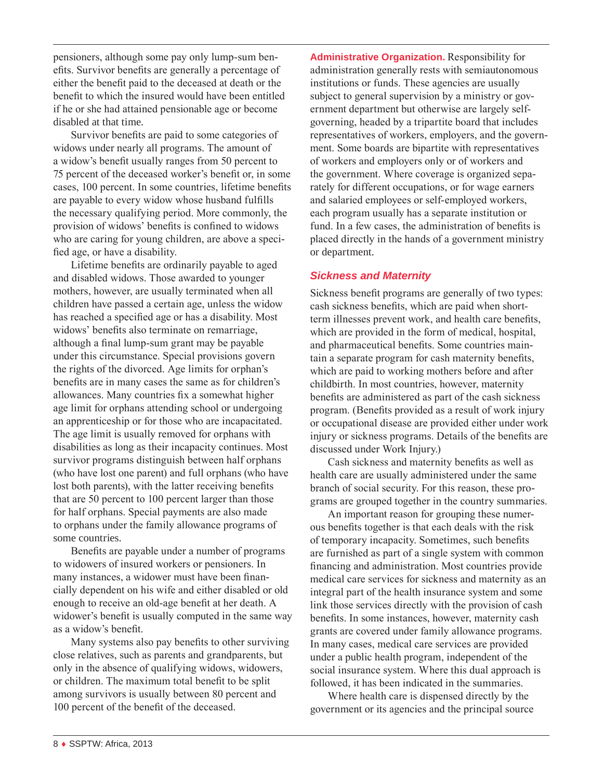pensioners, although some pay only lump-sum benefits. Survivor benefits are generally a percentage of either the benefit paid to the deceased at death or the benefit to which the insured would have been entitled if he or she had attained pensionable age or become disabled at that time.

Survivor benefits are paid to some categories of widows under nearly all programs. The amount of a widow's benefit usually ranges from 50 percent to 75 percent of the deceased worker's benefit or, in some cases, 100 percent. In some countries, lifetime benefits are payable to every widow whose husband fulfills the necessary qualifying period. More commonly, the provision of widows' benefits is confined to widows who are caring for young children, are above a specified age, or have a disability.

Lifetime benefits are ordinarily payable to aged and disabled widows. Those awarded to younger mothers, however, are usually terminated when all children have passed a certain age, unless the widow has reached a specified age or has a disability. Most widows' benefits also terminate on remarriage, although a final lump-sum grant may be payable under this circumstance. Special provisions govern the rights of the divorced. Age limits for orphan's benefits are in many cases the same as for children's allowances. Many countries fix a somewhat higher age limit for orphans attending school or undergoing an apprenticeship or for those who are incapacitated. The age limit is usually removed for orphans with disabilities as long as their incapacity continues. Most survivor programs distinguish between half orphans (who have lost one parent) and full orphans (who have lost both parents), with the latter receiving benefits that are 50 percent to 100 percent larger than those for half orphans. Special payments are also made to orphans under the family allowance programs of some countries.

Benefits are payable under a number of programs to widowers of insured workers or pensioners. In many instances, a widower must have been financially dependent on his wife and either disabled or old enough to receive an old-age benefit at her death. A widower's benefit is usually computed in the same way as a widow's benefit.

Many systems also pay benefits to other surviving close relatives, such as parents and grandparents, but only in the absence of qualifying widows, widowers, or children. The maximum total benefit to be split among survivors is usually between 80 percent and 100 percent of the benefit of the deceased.

**Administrative Organization.** Responsibility for administration generally rests with semiautonomous institutions or funds. These agencies are usually subject to general supervision by a ministry or government department but otherwise are largely selfgoverning, headed by a tripartite board that includes representatives of workers, employers, and the government. Some boards are bipartite with representatives of workers and employers only or of workers and the government. Where coverage is organized separately for different occupations, or for wage earners and salaried employees or self-employed workers, each program usually has a separate institution or fund. In a few cases, the administration of benefits is placed directly in the hands of a government ministry or department.

#### *Sickness and Maternity*

Sickness benefit programs are generally of two types: cash sickness benefits, which are paid when shortterm illnesses prevent work, and health care benefits, which are provided in the form of medical, hospital, and pharmaceutical benefits. Some countries maintain a separate program for cash maternity benefits, which are paid to working mothers before and after childbirth. In most countries, however, maternity benefits are administered as part of the cash sickness program. (Benefits provided as a result of work injury or occupational disease are provided either under work injury or sickness programs. Details of the benefits are discussed under Work Injury.)

Cash sickness and maternity benefits as well as health care are usually administered under the same branch of social security. For this reason, these programs are grouped together in the country summaries.

An important reason for grouping these numerous benefits together is that each deals with the risk of temporary incapacity. Sometimes, such benefits are furnished as part of a single system with common financing and administration. Most countries provide medical care services for sickness and maternity as an integral part of the health insurance system and some link those services directly with the provision of cash benefits. In some instances, however, maternity cash grants are covered under family allowance programs. In many cases, medical care services are provided under a public health program, independent of the social insurance system. Where this dual approach is followed, it has been indicated in the summaries.

Where health care is dispensed directly by the government or its agencies and the principal source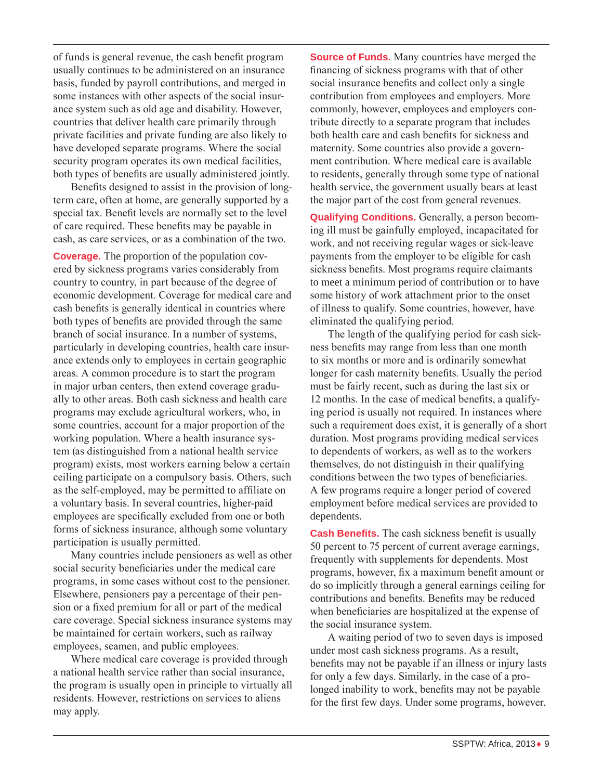of funds is general revenue, the cash benefit program usually continues to be administered on an insurance basis, funded by payroll contributions, and merged in some instances with other aspects of the social insurance system such as old age and disability. However, countries that deliver health care primarily through private facilities and private funding are also likely to have developed separate programs. Where the social security program operates its own medical facilities, both types of benefits are usually administered jointly.

Benefits designed to assist in the provision of longterm care, often at home, are generally supported by a special tax. Benefit levels are normally set to the level of care required. These benefits may be payable in cash, as care services, or as a combination of the two.

**Coverage.** The proportion of the population covered by sickness programs varies considerably from country to country, in part because of the degree of economic development. Coverage for medical care and cash benefits is generally identical in countries where both types of benefits are provided through the same branch of social insurance. In a number of systems, particularly in developing countries, health care insurance extends only to employees in certain geographic areas. A common procedure is to start the program in major urban centers, then extend coverage gradually to other areas. Both cash sickness and health care programs may exclude agricultural workers, who, in some countries, account for a major proportion of the working population. Where a health insurance system (as distinguished from a national health service program) exists, most workers earning below a certain ceiling participate on a compulsory basis. Others, such as the self-employed, may be permitted to affiliate on a voluntary basis. In several countries, higher-paid employees are specifically excluded from one or both forms of sickness insurance, although some voluntary participation is usually permitted.

Many countries include pensioners as well as other social security beneficiaries under the medical care programs, in some cases without cost to the pensioner. Elsewhere, pensioners pay a percentage of their pension or a fixed premium for all or part of the medical care coverage. Special sickness insurance systems may be maintained for certain workers, such as railway employees, seamen, and public employees.

Where medical care coverage is provided through a national health service rather than social insurance, the program is usually open in principle to virtually all residents. However, restrictions on services to aliens may apply.

**Source of Funds.** Many countries have merged the financing of sickness programs with that of other social insurance benefits and collect only a single contribution from employees and employers. More commonly, however, employees and employers contribute directly to a separate program that includes both health care and cash benefits for sickness and maternity. Some countries also provide a government contribution. Where medical care is available to residents, generally through some type of national health service, the government usually bears at least the major part of the cost from general revenues.

**Qualifying Conditions.** Generally, a person becoming ill must be gainfully employed, incapacitated for work, and not receiving regular wages or sick-leave payments from the employer to be eligible for cash sickness benefits. Most programs require claimants to meet a minimum period of contribution or to have some history of work attachment prior to the onset of illness to qualify. Some countries, however, have eliminated the qualifying period.

The length of the qualifying period for cash sickness benefits may range from less than one month to six months or more and is ordinarily somewhat longer for cash maternity benefits. Usually the period must be fairly recent, such as during the last six or 12 months. In the case of medical benefits, a qualifying period is usually not required. In instances where such a requirement does exist, it is generally of a short duration. Most programs providing medical services to dependents of workers, as well as to the workers themselves, do not distinguish in their qualifying conditions between the two types of beneficiaries. A few programs require a longer period of covered employment before medical services are provided to dependents.

**Cash Benefits.** The cash sickness benefit is usually 50 percent to 75 percent of current average earnings, frequently with supplements for dependents. Most programs, however, fix a maximum benefit amount or do so implicitly through a general earnings ceiling for contributions and benefits. Benefits may be reduced when beneficiaries are hospitalized at the expense of the social insurance system.

A waiting period of two to seven days is imposed under most cash sickness programs. As a result, benefits may not be payable if an illness or injury lasts for only a few days. Similarly, in the case of a prolonged inability to work, benefits may not be payable for the first few days. Under some programs, however,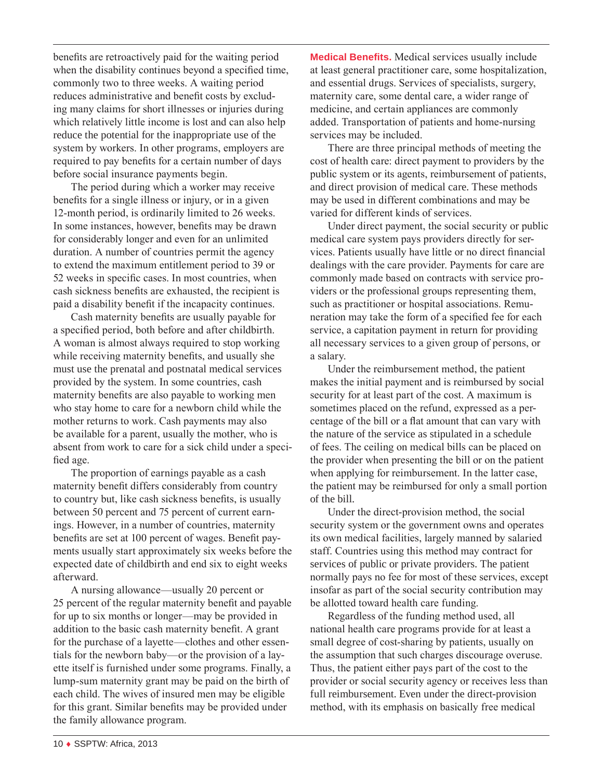benefits are retroactively paid for the waiting period when the disability continues beyond a specified time, commonly two to three weeks. A waiting period reduces administrative and benefit costs by excluding many claims for short illnesses or injuries during which relatively little income is lost and can also help reduce the potential for the inappropriate use of the system by workers. In other programs, employers are required to pay benefits for a certain number of days before social insurance payments begin.

The period during which a worker may receive benefits for a single illness or injury, or in a given 12-month period, is ordinarily limited to 26 weeks. In some instances, however, benefits may be drawn for considerably longer and even for an unlimited duration. A number of countries permit the agency to extend the maximum entitlement period to 39 or 52 weeks in specific cases. In most countries, when cash sickness benefits are exhausted, the recipient is paid a disability benefit if the incapacity continues.

Cash maternity benefits are usually payable for a specified period, both before and after childbirth. A woman is almost always required to stop working while receiving maternity benefits, and usually she must use the prenatal and postnatal medical services provided by the system. In some countries, cash maternity benefits are also payable to working men who stay home to care for a newborn child while the mother returns to work. Cash payments may also be available for a parent, usually the mother, who is absent from work to care for a sick child under a specified age.

The proportion of earnings payable as a cash maternity benefit differs considerably from country to country but, like cash sickness benefits, is usually between 50 percent and 75 percent of current earnings. However, in a number of countries, maternity benefits are set at 100 percent of wages. Benefit payments usually start approximately six weeks before the expected date of childbirth and end six to eight weeks afterward.

A nursing allowance—usually 20 percent or 25 percent of the regular maternity benefit and payable for up to six months or longer—may be provided in addition to the basic cash maternity benefit. A grant for the purchase of a layette—clothes and other essentials for the newborn baby—or the provision of a layette itself is furnished under some programs. Finally, a lump-sum maternity grant may be paid on the birth of each child. The wives of insured men may be eligible for this grant. Similar benefits may be provided under the family allowance program.

**Medical Benefits.** Medical services usually include at least general practitioner care, some hospitalization, and essential drugs. Services of specialists, surgery, maternity care, some dental care, a wider range of medicine, and certain appliances are commonly added. Transportation of patients and home-nursing services may be included.

There are three principal methods of meeting the cost of health care: direct payment to providers by the public system or its agents, reimbursement of patients, and direct provision of medical care. These methods may be used in different combinations and may be varied for different kinds of services.

Under direct payment, the social security or public medical care system pays providers directly for services. Patients usually have little or no direct financial dealings with the care provider. Payments for care are commonly made based on contracts with service providers or the professional groups representing them, such as practitioner or hospital associations. Remuneration may take the form of a specified fee for each service, a capitation payment in return for providing all necessary services to a given group of persons, or a salary.

Under the reimbursement method, the patient makes the initial payment and is reimbursed by social security for at least part of the cost. A maximum is sometimes placed on the refund, expressed as a percentage of the bill or a flat amount that can vary with the nature of the service as stipulated in a schedule of fees. The ceiling on medical bills can be placed on the provider when presenting the bill or on the patient when applying for reimbursement. In the latter case, the patient may be reimbursed for only a small portion of the bill.

Under the direct-provision method, the social security system or the government owns and operates its own medical facilities, largely manned by salaried staff. Countries using this method may contract for services of public or private providers. The patient normally pays no fee for most of these services, except insofar as part of the social security contribution may be allotted toward health care funding.

Regardless of the funding method used, all national health care programs provide for at least a small degree of cost-sharing by patients, usually on the assumption that such charges discourage overuse. Thus, the patient either pays part of the cost to the provider or social security agency or receives less than full reimbursement. Even under the direct-provision method, with its emphasis on basically free medical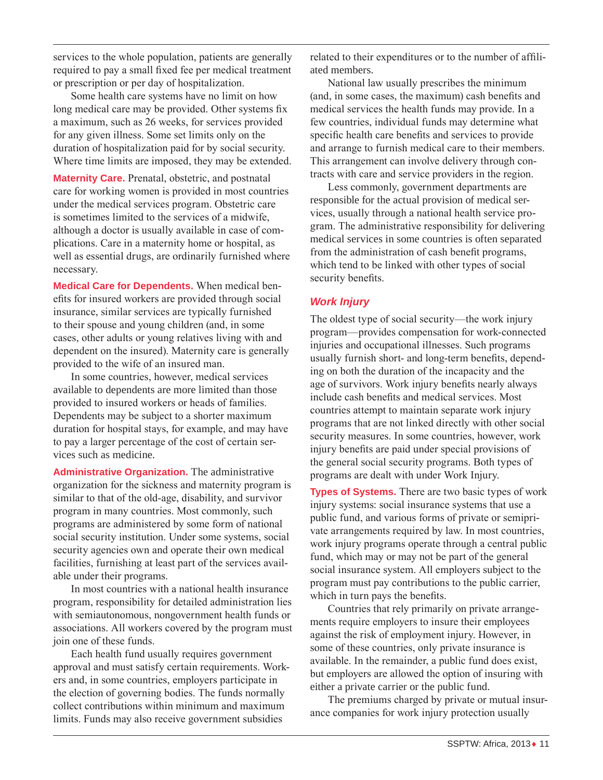services to the whole population, patients are generally required to pay a small fixed fee per medical treatment or prescription or per day of hospitalization.

Some health care systems have no limit on how long medical care may be provided. Other systems fix a maximum, such as 26 weeks, for services provided for any given illness. Some set limits only on the duration of hospitalization paid for by social security. Where time limits are imposed, they may be extended.

**Maternity Care.** Prenatal, obstetric, and postnatal care for working women is provided in most countries under the medical services program. Obstetric care is sometimes limited to the services of a midwife, although a doctor is usually available in case of complications. Care in a maternity home or hospital, as well as essential drugs, are ordinarily furnished where necessary.

**Medical Care for Dependents.** When medical benefits for insured workers are provided through social insurance, similar services are typically furnished to their spouse and young children (and, in some cases, other adults or young relatives living with and dependent on the insured). Maternity care is generally provided to the wife of an insured man.

In some countries, however, medical services available to dependents are more limited than those provided to insured workers or heads of families. Dependents may be subject to a shorter maximum duration for hospital stays, for example, and may have to pay a larger percentage of the cost of certain services such as medicine.

**Administrative Organization.** The administrative organization for the sickness and maternity program is similar to that of the old-age, disability, and survivor program in many countries. Most commonly, such programs are administered by some form of national social security institution. Under some systems, social security agencies own and operate their own medical facilities, furnishing at least part of the services available under their programs.

In most countries with a national health insurance program, responsibility for detailed administration lies with semiautonomous, nongovernment health funds or associations. All workers covered by the program must join one of these funds.

Each health fund usually requires government approval and must satisfy certain requirements. Workers and, in some countries, employers participate in the election of governing bodies. The funds normally collect contributions within minimum and maximum limits. Funds may also receive government subsidies

related to their expenditures or to the number of affiliated members.

National law usually prescribes the minimum (and, in some cases, the maximum) cash benefits and medical services the health funds may provide. In a few countries, individual funds may determine what specific health care benefits and services to provide and arrange to furnish medical care to their members. This arrangement can involve delivery through contracts with care and service providers in the region.

Less commonly, government departments are responsible for the actual provision of medical services, usually through a national health service program. The administrative responsibility for delivering medical services in some countries is often separated from the administration of cash benefit programs, which tend to be linked with other types of social security benefits.

#### *Work Injury*

The oldest type of social security—the work injury program—provides compensation for work-connected injuries and occupational illnesses. Such programs usually furnish short- and long-term benefits, depending on both the duration of the incapacity and the age of survivors. Work injury benefits nearly always include cash benefits and medical services. Most countries attempt to maintain separate work injury programs that are not linked directly with other social security measures. In some countries, however, work injury benefits are paid under special provisions of the general social security programs. Both types of programs are dealt with under Work Injury.

**Types of Systems.** There are two basic types of work injury systems: social insurance systems that use a public fund, and various forms of private or semiprivate arrangements required by law. In most countries, work injury programs operate through a central public fund, which may or may not be part of the general social insurance system. All employers subject to the program must pay contributions to the public carrier, which in turn pays the benefits.

Countries that rely primarily on private arrangements require employers to insure their employees against the risk of employment injury. However, in some of these countries, only private insurance is available. In the remainder, a public fund does exist, but employers are allowed the option of insuring with either a private carrier or the public fund.

The premiums charged by private or mutual insurance companies for work injury protection usually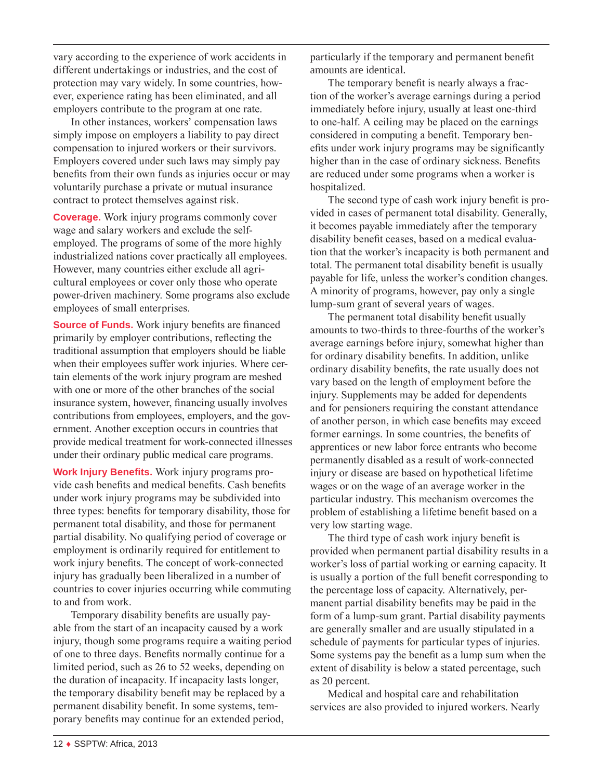vary according to the experience of work accidents in different undertakings or industries, and the cost of protection may vary widely. In some countries, however, experience rating has been eliminated, and all employers contribute to the program at one rate.

In other instances, workers' compensation laws simply impose on employers a liability to pay direct compensation to injured workers or their survivors. Employers covered under such laws may simply pay benefits from their own funds as injuries occur or may voluntarily purchase a private or mutual insurance contract to protect themselves against risk.

**Coverage.** Work injury programs commonly cover wage and salary workers and exclude the selfemployed. The programs of some of the more highly industrialized nations cover practically all employees. However, many countries either exclude all agricultural employees or cover only those who operate power-driven machinery. Some programs also exclude employees of small enterprises.

**Source of Funds.** Work injury benefits are financed primarily by employer contributions, reflecting the traditional assumption that employers should be liable when their employees suffer work injuries. Where certain elements of the work injury program are meshed with one or more of the other branches of the social insurance system, however, financing usually involves contributions from employees, employers, and the government. Another exception occurs in countries that provide medical treatment for work-connected illnesses under their ordinary public medical care programs.

**Work Injury Benefits.** Work injury programs provide cash benefits and medical benefits. Cash benefits under work injury programs may be subdivided into three types: benefits for temporary disability, those for permanent total disability, and those for permanent partial disability. No qualifying period of coverage or employment is ordinarily required for entitlement to work injury benefits. The concept of work-connected injury has gradually been liberalized in a number of countries to cover injuries occurring while commuting to and from work.

Temporary disability benefits are usually payable from the start of an incapacity caused by a work injury, though some programs require a waiting period of one to three days. Benefits normally continue for a limited period, such as 26 to 52 weeks, depending on the duration of incapacity. If incapacity lasts longer, the temporary disability benefit may be replaced by a permanent disability benefit. In some systems, temporary benefits may continue for an extended period,

particularly if the temporary and permanent benefit amounts are identical.

The temporary benefit is nearly always a fraction of the worker's average earnings during a period immediately before injury, usually at least one-third to one-half. A ceiling may be placed on the earnings considered in computing a benefit. Temporary benefits under work injury programs may be significantly higher than in the case of ordinary sickness. Benefits are reduced under some programs when a worker is hospitalized.

The second type of cash work injury benefit is provided in cases of permanent total disability. Generally, it becomes payable immediately after the temporary disability benefit ceases, based on a medical evaluation that the worker's incapacity is both permanent and total. The permanent total disability benefit is usually payable for life, unless the worker's condition changes. A minority of programs, however, pay only a single lump-sum grant of several years of wages.

The permanent total disability benefit usually amounts to two-thirds to three-fourths of the worker's average earnings before injury, somewhat higher than for ordinary disability benefits. In addition, unlike ordinary disability benefits, the rate usually does not vary based on the length of employment before the injury. Supplements may be added for dependents and for pensioners requiring the constant attendance of another person, in which case benefits may exceed former earnings. In some countries, the benefits of apprentices or new labor force entrants who become permanently disabled as a result of work-connected injury or disease are based on hypothetical lifetime wages or on the wage of an average worker in the particular industry. This mechanism overcomes the problem of establishing a lifetime benefit based on a very low starting wage.

The third type of cash work injury benefit is provided when permanent partial disability results in a worker's loss of partial working or earning capacity. It is usually a portion of the full benefit corresponding to the percentage loss of capacity. Alternatively, permanent partial disability benefits may be paid in the form of a lump-sum grant. Partial disability payments are generally smaller and are usually stipulated in a schedule of payments for particular types of injuries. Some systems pay the benefit as a lump sum when the extent of disability is below a stated percentage, such as 20 percent.

Medical and hospital care and rehabilitation services are also provided to injured workers. Nearly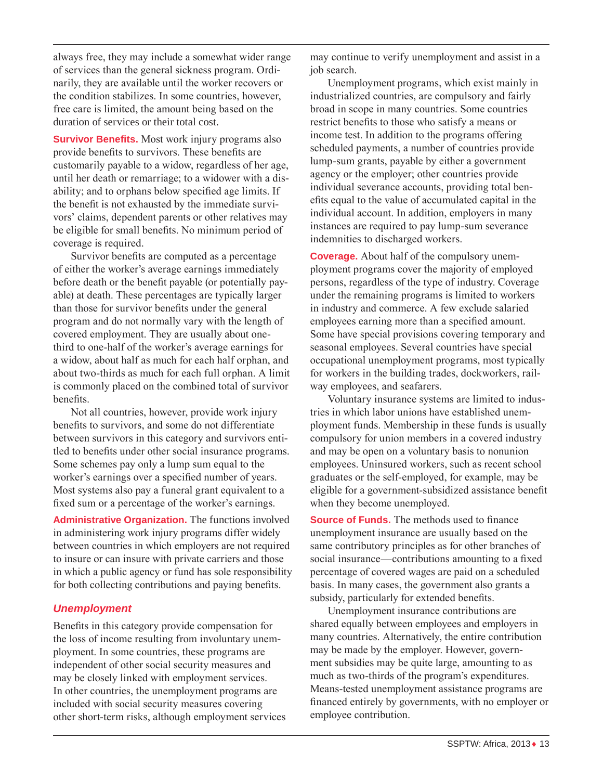always free, they may include a somewhat wider range of services than the general sickness program. Ordinarily, they are available until the worker recovers or the condition stabilizes. In some countries, however, free care is limited, the amount being based on the duration of services or their total cost.

**Survivor Benefits.** Most work injury programs also provide benefits to survivors. These benefits are customarily payable to a widow, regardless of her age, until her death or remarriage; to a widower with a disability; and to orphans below specified age limits. If the benefit is not exhausted by the immediate survivors' claims, dependent parents or other relatives may be eligible for small benefits. No minimum period of coverage is required.

Survivor benefits are computed as a percentage of either the worker's average earnings immediately before death or the benefit payable (or potentially payable) at death. These percentages are typically larger than those for survivor benefits under the general program and do not normally vary with the length of covered employment. They are usually about onethird to one-half of the worker's average earnings for a widow, about half as much for each half orphan, and about two-thirds as much for each full orphan. A limit is commonly placed on the combined total of survivor benefits.

Not all countries, however, provide work injury benefits to survivors, and some do not differentiate between survivors in this category and survivors entitled to benefits under other social insurance programs. Some schemes pay only a lump sum equal to the worker's earnings over a specified number of years. Most systems also pay a funeral grant equivalent to a fixed sum or a percentage of the worker's earnings.

**Administrative Organization.** The functions involved in administering work injury programs differ widely between countries in which employers are not required to insure or can insure with private carriers and those in which a public agency or fund has sole responsibility for both collecting contributions and paying benefits.

#### *Unemployment*

Benefits in this category provide compensation for the loss of income resulting from involuntary unemployment. In some countries, these programs are independent of other social security measures and may be closely linked with employment services. In other countries, the unemployment programs are included with social security measures covering other short-term risks, although employment services may continue to verify unemployment and assist in a job search.

Unemployment programs, which exist mainly in industrialized countries, are compulsory and fairly broad in scope in many countries. Some countries restrict benefits to those who satisfy a means or income test. In addition to the programs offering scheduled payments, a number of countries provide lump-sum grants, payable by either a government agency or the employer; other countries provide individual severance accounts, providing total benefits equal to the value of accumulated capital in the individual account. In addition, employers in many instances are required to pay lump-sum severance indemnities to discharged workers.

**Coverage.** About half of the compulsory unemployment programs cover the majority of employed persons, regardless of the type of industry. Coverage under the remaining programs is limited to workers in industry and commerce. A few exclude salaried employees earning more than a specified amount. Some have special provisions covering temporary and seasonal employees. Several countries have special occupational unemployment programs, most typically for workers in the building trades, dockworkers, railway employees, and seafarers.

Voluntary insurance systems are limited to industries in which labor unions have established unemployment funds. Membership in these funds is usually compulsory for union members in a covered industry and may be open on a voluntary basis to nonunion employees. Uninsured workers, such as recent school graduates or the self-employed, for example, may be eligible for a government-subsidized assistance benefit when they become unemployed.

**Source of Funds.** The methods used to finance unemployment insurance are usually based on the same contributory principles as for other branches of social insurance—contributions amounting to a fixed percentage of covered wages are paid on a scheduled basis. In many cases, the government also grants a subsidy, particularly for extended benefits.

Unemployment insurance contributions are shared equally between employees and employers in many countries. Alternatively, the entire contribution may be made by the employer. However, government subsidies may be quite large, amounting to as much as two-thirds of the program's expenditures. Means-tested unemployment assistance programs are financed entirely by governments, with no employer or employee contribution.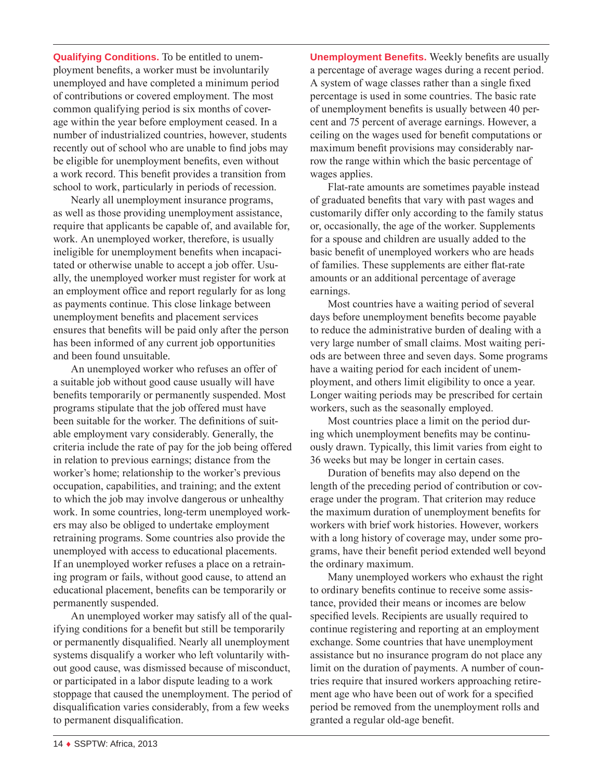**Qualifying Conditions.** To be entitled to unemployment benefits, a worker must be involuntarily unemployed and have completed a minimum period of contributions or covered employment. The most common qualifying period is six months of coverage within the year before employment ceased. In a number of industrialized countries, however, students recently out of school who are unable to find jobs may be eligible for unemployment benefits, even without a work record. This benefit provides a transition from school to work, particularly in periods of recession.

Nearly all unemployment insurance programs, as well as those providing unemployment assistance, require that applicants be capable of, and available for, work. An unemployed worker, therefore, is usually ineligible for unemployment benefits when incapacitated or otherwise unable to accept a job offer. Usually, the unemployed worker must register for work at an employment office and report regularly for as long as payments continue. This close linkage between unemployment benefits and placement services ensures that benefits will be paid only after the person has been informed of any current job opportunities and been found unsuitable.

An unemployed worker who refuses an offer of a suitable job without good cause usually will have benefits temporarily or permanently suspended. Most programs stipulate that the job offered must have been suitable for the worker. The definitions of suitable employment vary considerably. Generally, the criteria include the rate of pay for the job being offered in relation to previous earnings; distance from the worker's home; relationship to the worker's previous occupation, capabilities, and training; and the extent to which the job may involve dangerous or unhealthy work. In some countries, long-term unemployed workers may also be obliged to undertake employment retraining programs. Some countries also provide the unemployed with access to educational placements. If an unemployed worker refuses a place on a retraining program or fails, without good cause, to attend an educational placement, benefits can be temporarily or permanently suspended.

An unemployed worker may satisfy all of the qualifying conditions for a benefit but still be temporarily or permanently disqualified. Nearly all unemployment systems disqualify a worker who left voluntarily without good cause, was dismissed because of misconduct, or participated in a labor dispute leading to a work stoppage that caused the unemployment. The period of disqualification varies considerably, from a few weeks to permanent disqualification.

**Unemployment Benefits.** Weekly benefits are usually a percentage of average wages during a recent period. A system of wage classes rather than a single fixed percentage is used in some countries. The basic rate of unemployment benefits is usually between 40 percent and 75 percent of average earnings. However, a ceiling on the wages used for benefit computations or maximum benefit provisions may considerably narrow the range within which the basic percentage of wages applies.

Flat-rate amounts are sometimes payable instead of graduated benefits that vary with past wages and customarily differ only according to the family status or, occasionally, the age of the worker. Supplements for a spouse and children are usually added to the basic benefit of unemployed workers who are heads of families. These supplements are either flat-rate amounts or an additional percentage of average earnings.

Most countries have a waiting period of several days before unemployment benefits become payable to reduce the administrative burden of dealing with a very large number of small claims. Most waiting periods are between three and seven days. Some programs have a waiting period for each incident of unemployment, and others limit eligibility to once a year. Longer waiting periods may be prescribed for certain workers, such as the seasonally employed.

Most countries place a limit on the period during which unemployment benefits may be continuously drawn. Typically, this limit varies from eight to 36 weeks but may be longer in certain cases.

Duration of benefits may also depend on the length of the preceding period of contribution or coverage under the program. That criterion may reduce the maximum duration of unemployment benefits for workers with brief work histories. However, workers with a long history of coverage may, under some programs, have their benefit period extended well beyond the ordinary maximum.

Many unemployed workers who exhaust the right to ordinary benefits continue to receive some assistance, provided their means or incomes are below specified levels. Recipients are usually required to continue registering and reporting at an employment exchange. Some countries that have unemployment assistance but no insurance program do not place any limit on the duration of payments. A number of countries require that insured workers approaching retirement age who have been out of work for a specified period be removed from the unemployment rolls and granted a regular old-age benefit.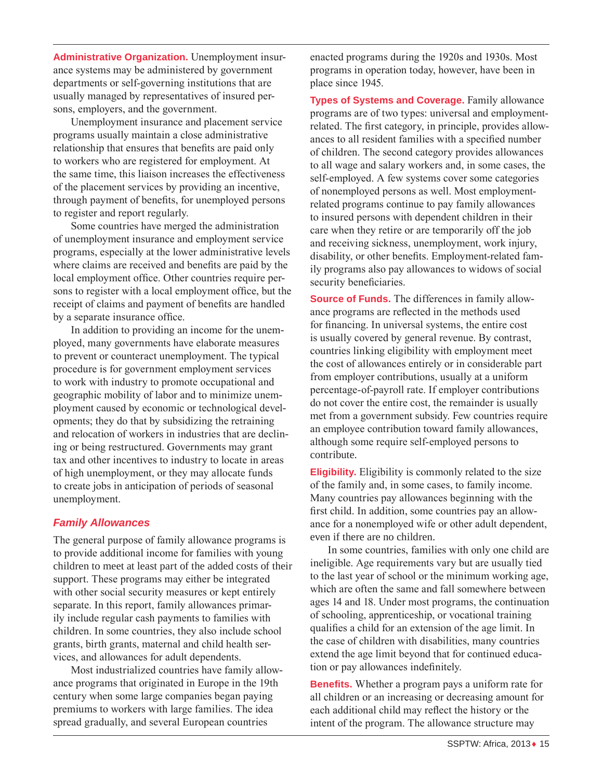**Administrative Organization.** Unemployment insurance systems may be administered by government departments or self-governing institutions that are usually managed by representatives of insured persons, employers, and the government.

Unemployment insurance and placement service programs usually maintain a close administrative relationship that ensures that benefits are paid only to workers who are registered for employment. At the same time, this liaison increases the effectiveness of the placement services by providing an incentive, through payment of benefits, for unemployed persons to register and report regularly.

Some countries have merged the administration of unemployment insurance and employment service programs, especially at the lower administrative levels where claims are received and benefits are paid by the local employment office. Other countries require persons to register with a local employment office, but the receipt of claims and payment of benefits are handled by a separate insurance office.

In addition to providing an income for the unemployed, many governments have elaborate measures to prevent or counteract unemployment. The typical procedure is for government employment services to work with industry to promote occupational and geographic mobility of labor and to minimize unemployment caused by economic or technological developments; they do that by subsidizing the retraining and relocation of workers in industries that are declining or being restructured. Governments may grant tax and other incentives to industry to locate in areas of high unemployment, or they may allocate funds to create jobs in anticipation of periods of seasonal unemployment.

#### *Family Allowances*

The general purpose of family allowance programs is to provide additional income for families with young children to meet at least part of the added costs of their support. These programs may either be integrated with other social security measures or kept entirely separate. In this report, family allowances primarily include regular cash payments to families with children. In some countries, they also include school grants, birth grants, maternal and child health services, and allowances for adult dependents.

Most industrialized countries have family allowance programs that originated in Europe in the 19th century when some large companies began paying premiums to workers with large families. The idea spread gradually, and several European countries

enacted programs during the 1920s and 1930s. Most programs in operation today, however, have been in place since 1945.

**Types of Systems and Coverage.** Family allowance programs are of two types: universal and employmentrelated. The first category, in principle, provides allowances to all resident families with a specified number of children. The second category provides allowances to all wage and salary workers and, in some cases, the self-employed. A few systems cover some categories of nonemployed persons as well. Most employmentrelated programs continue to pay family allowances to insured persons with dependent children in their care when they retire or are temporarily off the job and receiving sickness, unemployment, work injury, disability, or other benefits. Employment-related family programs also pay allowances to widows of social security beneficiaries.

**Source of Funds.** The differences in family allowance programs are reflected in the methods used for financing. In universal systems, the entire cost is usually covered by general revenue. By contrast, countries linking eligibility with employment meet the cost of allowances entirely or in considerable part from employer contributions, usually at a uniform percentage-of-payroll rate. If employer contributions do not cover the entire cost, the remainder is usually met from a government subsidy. Few countries require an employee contribution toward family allowances, although some require self-employed persons to contribute.

**Eligibility.** Eligibility is commonly related to the size of the family and, in some cases, to family income. Many countries pay allowances beginning with the first child. In addition, some countries pay an allowance for a nonemployed wife or other adult dependent, even if there are no children.

In some countries, families with only one child are ineligible. Age requirements vary but are usually tied to the last year of school or the minimum working age, which are often the same and fall somewhere between ages 14 and 18. Under most programs, the continuation of schooling, apprenticeship, or vocational training qualifies a child for an extension of the age limit. In the case of children with disabilities, many countries extend the age limit beyond that for continued education or pay allowances indefinitely.

**Benefits.** Whether a program pays a uniform rate for all children or an increasing or decreasing amount for each additional child may reflect the history or the intent of the program. The allowance structure may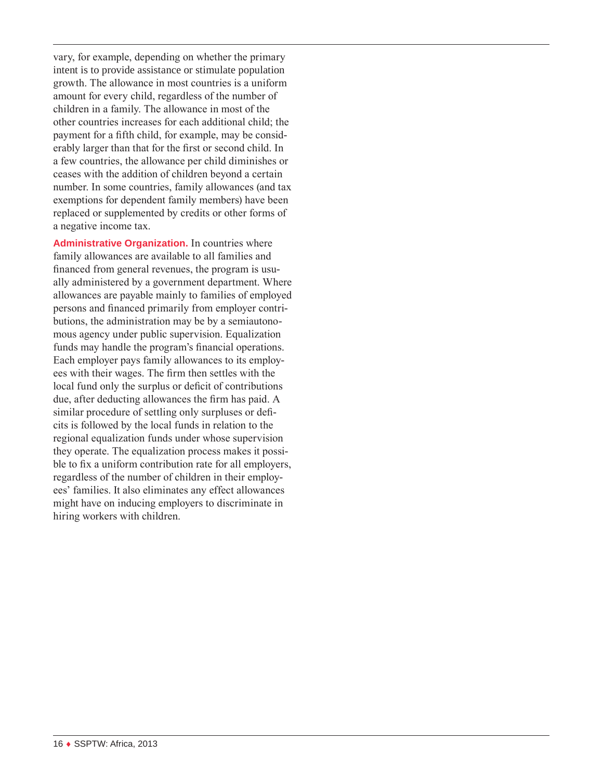vary, for example, depending on whether the primary intent is to provide assistance or stimulate population growth. The allowance in most countries is a uniform amount for every child, regardless of the number of children in a family. The allowance in most of the other countries increases for each additional child; the payment for a fifth child, for example, may be considerably larger than that for the first or second child. In a few countries, the allowance per child diminishes or ceases with the addition of children beyond a certain number. In some countries, family allowances (and tax exemptions for dependent family members) have been replaced or supplemented by credits or other forms of a negative income tax.

**Administrative Organization.** In countries where family allowances are available to all families and financed from general revenues, the program is usually administered by a government department. Where allowances are payable mainly to families of employed persons and financed primarily from employer contributions, the administration may be by a semiautonomous agency under public supervision. Equalization funds may handle the program's financial operations. Each employer pays family allowances to its employees with their wages. The firm then settles with the local fund only the surplus or deficit of contributions due, after deducting allowances the firm has paid. A similar procedure of settling only surpluses or deficits is followed by the local funds in relation to the regional equalization funds under whose supervision they operate. The equalization process makes it possible to fix a uniform contribution rate for all employers, regardless of the number of children in their employees' families. It also eliminates any effect allowances might have on inducing employers to discriminate in hiring workers with children.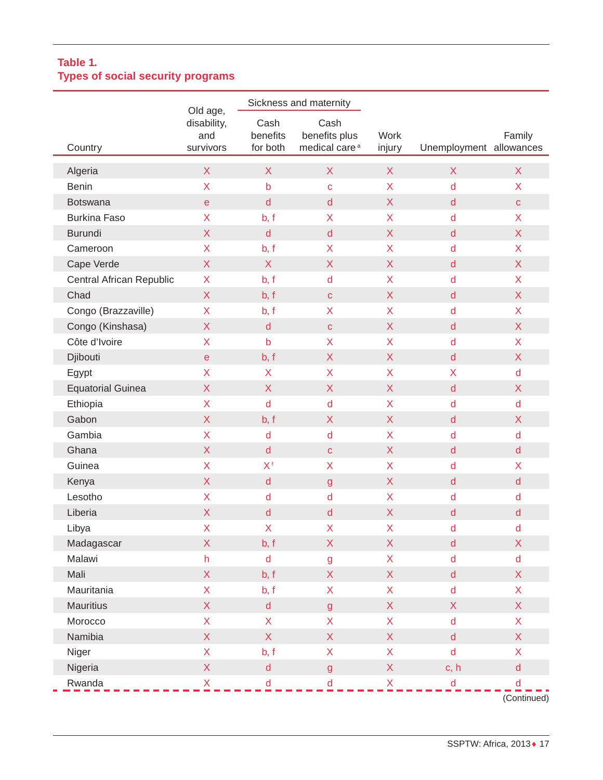# **Table 1. Types of social security programs**

|                          | Old age,                        |                              | Sickness and maternity                             |                         |                             |                           |
|--------------------------|---------------------------------|------------------------------|----------------------------------------------------|-------------------------|-----------------------------|---------------------------|
| Country                  | disability,<br>and<br>survivors | Cash<br>benefits<br>for both | Cash<br>benefits plus<br>medical care <sup>a</sup> | Work<br>injury          | Unemployment allowances     | Family                    |
| Algeria                  | $\mathsf{X}$                    | $\overline{X}$               | $\mathsf{X}$                                       | $\overline{X}$          | $\mathsf{X}$                | $\mathsf{X}$              |
| <b>Benin</b>             | X                               | $\mathsf b$                  | $\mathbf C$                                        | X                       | d                           | X                         |
| <b>Botswana</b>          | e                               | $\mathsf{d}$                 | $\mathsf{d}$                                       | X                       | d                           | $\mathbf C$               |
| <b>Burkina Faso</b>      | X                               | b, f                         | X                                                  | $\overline{\mathsf{X}}$ | d                           | $\mathsf{X}$              |
| <b>Burundi</b>           | $\mathsf{X}$                    | $\mathsf{d}$                 | $\mathsf{d}$                                       | X                       | d                           | $\mathsf{X}$              |
| Cameroon                 | X                               | b, f                         | X                                                  | X                       | d                           | $\boldsymbol{\mathsf{X}}$ |
| Cape Verde               | X                               | $\mathsf{X}$                 | $\mathsf{X}$                                       | X                       | d                           | $\mathsf{X}$              |
| Central African Republic | X                               | b, f                         | $\mathsf{d}$                                       | X                       | d                           | X                         |
| Chad                     | $\mathsf{X}$                    | b, f                         | $\mathbf C$                                        | $\mathsf{X}$            | $\mathsf{d}$                | $\mathsf{X}$              |
| Congo (Brazzaville)      | X                               | b, f                         | X                                                  | X                       | d                           | $\boldsymbol{\mathsf{X}}$ |
| Congo (Kinshasa)         | X                               | $\mathsf{d}$                 | $\mathbf{C}$                                       | X                       | d                           | X                         |
| Côte d'Ivoire            | X                               | $\mathsf b$                  | X                                                  | X                       | d                           | $\mathsf{X}$              |
| Djibouti                 | $\mathbf{e}$                    | b, f                         | X                                                  | X                       | d                           | $\mathsf{X}$              |
| Egypt                    | X                               | X                            | X                                                  | X                       | $\mathsf{X}$                | $\mathsf{d}$              |
| <b>Equatorial Guinea</b> | $\mathsf{X}$                    | X                            | $\mathsf{X}$                                       | $\mathsf{X}$            | $\mathsf{d}$                | $\sf X$                   |
| Ethiopia                 | X                               | d                            | $\mathsf{d}$                                       | X                       | d                           | $\mathsf{d}$              |
| Gabon                    | $\mathsf{X}$                    | b, f                         | $\mathsf{X}$                                       | $\mathsf{X}$            | $\mathsf{d}$                | $\mathsf{X}$              |
| Gambia                   | X                               | d                            | $\mathsf{d}$                                       | X                       | d                           | $\mathsf{d}$              |
| Ghana                    | $\mathsf{X}$                    | $\mathsf{d}$                 | $\mathbf C$                                        | X                       | d                           | $\sf d$                   |
| Guinea                   | X                               | $X^f$                        | X                                                  | X                       | d                           | $\mathsf{X}$              |
| Kenya                    | $\mathsf{X}$                    | $\sf d$                      | $\mathsf{g}$                                       | X                       | d                           | $\sf d$                   |
| Lesotho                  | X                               | d                            | $\mathsf{d}$                                       | X                       | d                           | d                         |
| Liberia                  | X                               | $\mathsf{d}$                 | $\mathsf{d}$                                       | $\sf X$                 | d                           | $\sf d$                   |
| Libya                    | X                               | X                            | X                                                  | X                       | d                           | d                         |
| Madagascar               | $\mathsf{X}$                    | b, f                         | $\mathsf{X}$                                       | $\mathsf X$             | $\mathsf{d}$                | $\mathsf{X}$              |
| Malawi                   | h                               | d                            | $\boldsymbol{g}$                                   | X                       | d                           | $\mathsf{d}$              |
| Mali                     | $\mathsf{X}$                    | b, f                         | $\mathsf X$                                        | $\mathsf X$             | $\operatorname{\mathsf{d}}$ | $\mathsf{X}$              |
| Mauritania               | X                               | b, f                         | $\mathsf{X}$                                       | X                       | $\mathsf{d}$                | $\mathsf{X}$              |
| <b>Mauritius</b>         | $\mathsf{X}% _{0}$              | $\sf d$                      | $\mathsf{g}$                                       | X                       | $\mathsf X$                 | $\mathsf{X}$              |
| Morocco                  | X                               | X                            | X                                                  | X                       | $\mathsf{d}$                | $\pmb{\times}$            |
| Namibia                  | $\mathsf{X}$                    | $\mathsf{X}$                 | $\mathsf X$                                        | $\mathsf{X}$            | $\sf d$                     | $\mathsf{X}$              |
| Niger                    | X                               | b, f                         | X                                                  | X                       | d                           | X                         |
| Nigeria                  | $\mathsf{X}$                    | $\mathsf{d}$                 | $\mathsf g$                                        | $\mathsf{X}% _{0}$      | c, h                        | $\mathsf{d}$              |
| Rwanda                   | X                               | ${\sf d}$                    | $\mathsf{d}$                                       | X                       | $\operatorname{\mathsf{d}}$ | d<br>(Continued)          |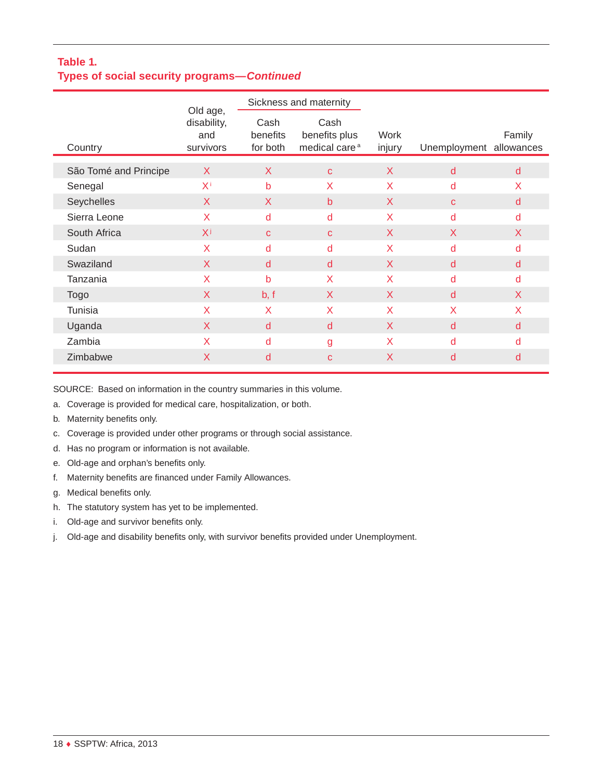## **Table 1. Types of social security programs—***Continued*

|                       | Old age,                        |                              | Sickness and maternity                             |                                           |   |        |  |
|-----------------------|---------------------------------|------------------------------|----------------------------------------------------|-------------------------------------------|---|--------|--|
| Country               | disability,<br>and<br>survivors | Cash<br>benefits<br>for both | Cash<br>benefits plus<br>medical care <sup>a</sup> | Work<br>Unemployment allowances<br>injury |   | Family |  |
| São Tomé and Principe | $\sf X$                         | $\sf X$                      | C                                                  | $\sf X$                                   | d | d      |  |
| Senegal               | $X^i$                           | b                            | X                                                  | X                                         | d | X      |  |
| Seychelles            | X                               | X                            | b                                                  | X                                         | C | d      |  |
| Sierra Leone          | X                               | d                            | d                                                  | X                                         | d | d      |  |
| South Africa          | Xi                              | C.                           | $\mathbf{C}$                                       | $\sf X$                                   | X | X      |  |
| Sudan                 | X                               | d                            | d                                                  | X                                         | d | d      |  |
| Swaziland             | $\mathsf{X}$                    | d                            | d                                                  | $\mathsf{X}$                              | d | d      |  |
| Tanzania              | X                               | b                            | X                                                  | X                                         | d | d      |  |
| Togo                  | X                               | b, f                         | $\mathsf{X}$                                       | X                                         | d | X      |  |
| Tunisia               | X                               | X                            | X                                                  | X                                         | X | X      |  |
| Uganda                | X                               | d                            | d                                                  | $\overline{\mathsf{X}}$                   | d | d      |  |
| Zambia                | X                               | d                            | g                                                  | X                                         | d | d      |  |
| Zimbabwe              | X                               | d                            | C                                                  | X                                         | d | d      |  |
|                       |                                 |                              |                                                    |                                           |   |        |  |

SOURCE: Based on information in the country summaries in this volume.

- a. Coverage is provided for medical care, hospitalization, or both.
- b. Maternity benefits only.
- c. Coverage is provided under other programs or through social assistance.
- d. Has no program or information is not available.
- e. Old-age and orphan's benefits only.
- f. Maternity benefits are financed under Family Allowances.
- g. Medical benefits only.
- h. The statutory system has yet to be implemented.
- i. Old-age and survivor benefits only.
- j. Old-age and disability benefits only, with survivor benefits provided under Unemployment.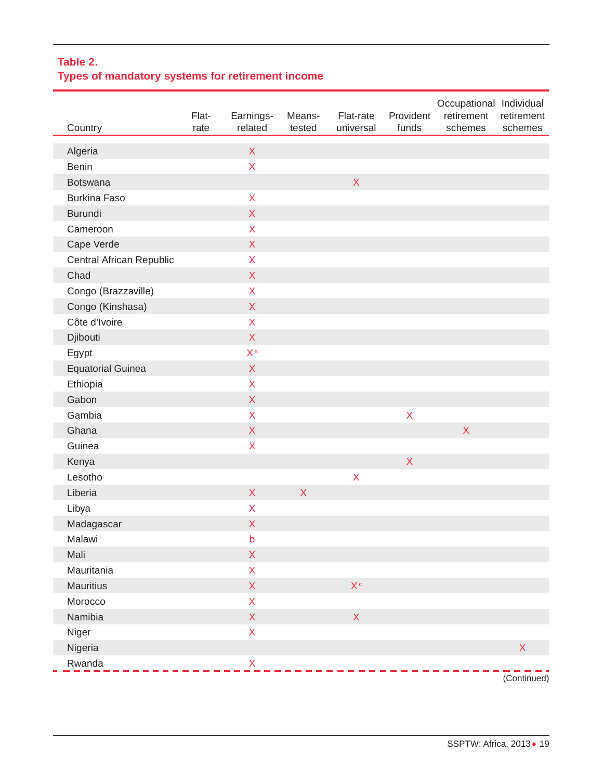## **Table 2. Types of mandatory systems for retirement income**

| Country                  | Flat-<br>rate | Earnings-<br>related | Means-<br>tested | Flat-rate<br>universal | Provident<br>funds | Occupational Individual<br>retirement<br>schemes | retirement<br>schemes |
|--------------------------|---------------|----------------------|------------------|------------------------|--------------------|--------------------------------------------------|-----------------------|
| Algeria                  |               | $\mathsf X$          |                  |                        |                    |                                                  |                       |
| <b>Benin</b>             |               | $\sf X$              |                  |                        |                    |                                                  |                       |
| <b>Botswana</b>          |               |                      |                  | $\mathsf X$            |                    |                                                  |                       |
| <b>Burkina Faso</b>      |               | X                    |                  |                        |                    |                                                  |                       |
| <b>Burundi</b>           |               | $\overline{X}$       |                  |                        |                    |                                                  |                       |
| Cameroon                 |               | $\overline{X}$       |                  |                        |                    |                                                  |                       |
| Cape Verde               |               | $\mathsf{X}$         |                  |                        |                    |                                                  |                       |
| Central African Republic |               | $\sf X$              |                  |                        |                    |                                                  |                       |
| Chad                     |               | $\mathsf{X}$         |                  |                        |                    |                                                  |                       |
| Congo (Brazzaville)      |               | $\sf X$              |                  |                        |                    |                                                  |                       |
| Congo (Kinshasa)         |               | $\overline{X}$       |                  |                        |                    |                                                  |                       |
| Côte d'Ivoire            |               | X                    |                  |                        |                    |                                                  |                       |
| Djibouti                 |               | $\sf X$              |                  |                        |                    |                                                  |                       |
| Egypt                    |               | X <sup>a</sup>       |                  |                        |                    |                                                  |                       |
| <b>Equatorial Guinea</b> |               | $\boldsymbol{X}$     |                  |                        |                    |                                                  |                       |
| Ethiopia                 |               | $\sf X$              |                  |                        |                    |                                                  |                       |
| Gabon                    |               | $\mathsf{X}$         |                  |                        |                    |                                                  |                       |
| Gambia                   |               | $\sf X$              |                  |                        | $\overline{X}$     |                                                  |                       |
| Ghana                    |               | $\sf X$              |                  |                        |                    | $\mathsf{X}$                                     |                       |
| Guinea                   |               | $\mathsf X$          |                  |                        |                    |                                                  |                       |
| Kenya                    |               |                      |                  |                        | $\overline{X}$     |                                                  |                       |
| Lesotho                  |               |                      |                  | $\mathsf X$            |                    |                                                  |                       |
| Liberia                  |               | $\mathsf{X}$         | $\mathsf{X}$     |                        |                    |                                                  |                       |
| Libya                    |               | X                    |                  |                        |                    |                                                  |                       |
| Madagascar               |               | $\mathsf X$          |                  |                        |                    |                                                  |                       |
| Malawi                   |               | b                    |                  |                        |                    |                                                  |                       |
| Mali                     |               | $\mathsf X$          |                  |                        |                    |                                                  |                       |
| Mauritania               |               | X                    |                  |                        |                    |                                                  |                       |
| Mauritius                |               | $\mathsf X$          |                  | $X^c$                  |                    |                                                  |                       |
| Morocco                  |               | $\bar{\mathsf{X}}$   |                  |                        |                    |                                                  |                       |
| Namibia                  |               | $\mathsf X$          |                  | $\mathsf X$            |                    |                                                  |                       |
| Niger                    |               | $\bar{\mathsf{X}}$   |                  |                        |                    |                                                  |                       |
| Nigeria                  |               |                      |                  |                        |                    |                                                  | $\mathsf X$           |
| Rwanda                   |               | $\mathsf{X}% _{0}$   |                  |                        |                    |                                                  |                       |
|                          |               |                      |                  |                        |                    |                                                  | (Continued)           |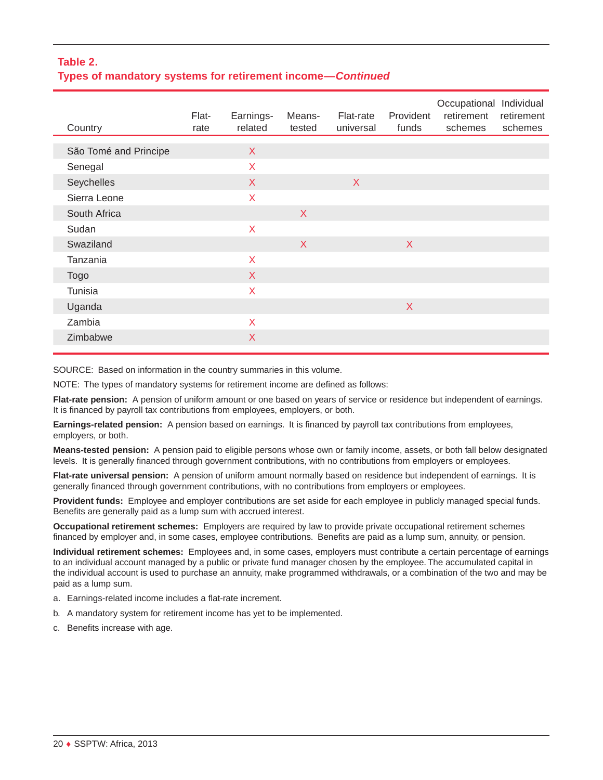# **Table 2. Types of mandatory systems for retirement income—***Continued*

| Country               | Flat-<br>rate | Earnings-<br>related      | Means-<br>tested | Flat-rate<br>universal | Provident<br>funds | Occupational Individual<br>retirement<br>schemes | retirement<br>schemes |
|-----------------------|---------------|---------------------------|------------------|------------------------|--------------------|--------------------------------------------------|-----------------------|
| São Tomé and Principe |               | $\mathsf{X}$              |                  |                        |                    |                                                  |                       |
|                       |               |                           |                  |                        |                    |                                                  |                       |
| Senegal               |               | $\boldsymbol{\mathsf{X}}$ |                  |                        |                    |                                                  |                       |
| Seychelles            |               | $\sf X$                   |                  | $\mathsf{X}$           |                    |                                                  |                       |
| Sierra Leone          |               | $\boldsymbol{\mathsf{X}}$ |                  |                        |                    |                                                  |                       |
| South Africa          |               |                           | $\sf X$          |                        |                    |                                                  |                       |
| Sudan                 |               | $\overline{\mathsf{X}}$   |                  |                        |                    |                                                  |                       |
| Swaziland             |               |                           | $\sf X$          |                        | X                  |                                                  |                       |
| Tanzania              |               | $\sf X$                   |                  |                        |                    |                                                  |                       |
| Togo                  |               | $\sf X$                   |                  |                        |                    |                                                  |                       |
| Tunisia               |               | $\boldsymbol{\mathsf{X}}$ |                  |                        |                    |                                                  |                       |
| Uganda                |               |                           |                  |                        | $\sf X$            |                                                  |                       |
| Zambia                |               | X                         |                  |                        |                    |                                                  |                       |
| Zimbabwe              |               | $\sf X$                   |                  |                        |                    |                                                  |                       |
|                       |               |                           |                  |                        |                    |                                                  |                       |

SOURCE: Based on information in the country summaries in this volume.

NOTE: The types of mandatory systems for retirement income are defined as follows:

**Flat-rate pension:** A pension of uniform amount or one based on years of service or residence but independent of earnings. It is financed by payroll tax contributions from employees, employers, or both.

**Earnings-related pension:** A pension based on earnings. It is financed by payroll tax contributions from employees, employers, or both.

**Means-tested pension:** A pension paid to eligible persons whose own or family income, assets, or both fall below designated levels. It is generally financed through government contributions, with no contributions from employers or employees.

**Flat-rate universal pension:** A pension of uniform amount normally based on residence but independent of earnings. It is generally financed through government contributions, with no contributions from employers or employees.

**Provident funds:** Employee and employer contributions are set aside for each employee in publicly managed special funds. Benefits are generally paid as a lump sum with accrued interest.

**Occupational retirement schemes:** Employers are required by law to provide private occupational retirement schemes financed by employer and, in some cases, employee contributions. Benefits are paid as a lump sum, annuity, or pension.

**Individual retirement schemes:** Employees and, in some cases, employers must contribute a certain percentage of earnings to an individual account managed by a public or private fund manager chosen by the employee. The accumulated capital in the individual account is used to purchase an annuity, make programmed withdrawals, or a combination of the two and may be paid as a lump sum.

- a. Earnings-related income includes a flat-rate increment.
- b. A mandatory system for retirement income has yet to be implemented.
- c. Benefits increase with age.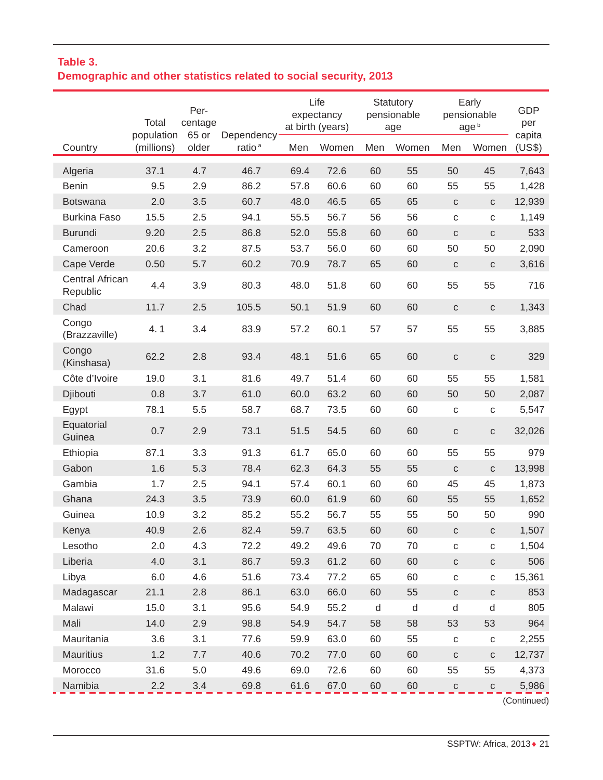# **Table 3. Demographic and other statistics related to social security, 2013**

|                                    | Total<br>population | Per-<br>centage<br>65 or | Dependency         |      | Life<br>expectancy<br>at birth (years) |     | Statutory<br>pensionable<br>age |              | Early<br>pensionable<br>age <sup>b</sup> | <b>GDP</b><br>per<br>capita |
|------------------------------------|---------------------|--------------------------|--------------------|------|----------------------------------------|-----|---------------------------------|--------------|------------------------------------------|-----------------------------|
| Country                            | (millions)          | older                    | ratio <sup>a</sup> | Men  | Women                                  | Men | Women                           | Men          | Women                                    | (US\$)                      |
| Algeria                            | 37.1                | 4.7                      | 46.7               | 69.4 | 72.6                                   | 60  | 55                              | 50           | 45                                       | 7,643                       |
| <b>Benin</b>                       | 9.5                 | 2.9                      | 86.2               | 57.8 | 60.6                                   | 60  | 60                              | 55           | 55                                       | 1,428                       |
| <b>Botswana</b>                    | 2.0                 | 3.5                      | 60.7               | 48.0 | 46.5                                   | 65  | 65                              | $\mathbf C$  | ${\bf C}$                                | 12,939                      |
| <b>Burkina Faso</b>                | 15.5                | 2.5                      | 94.1               | 55.5 | 56.7                                   | 56  | 56                              | C            | C                                        | 1,149                       |
| <b>Burundi</b>                     | 9.20                | 2.5                      | 86.8               | 52.0 | 55.8                                   | 60  | 60                              | $\mathbf C$  | $\mathbf C$                              | 533                         |
| Cameroon                           | 20.6                | 3.2                      | 87.5               | 53.7 | 56.0                                   | 60  | 60                              | 50           | 50                                       | 2,090                       |
| Cape Verde                         | 0.50                | 5.7                      | 60.2               | 70.9 | 78.7                                   | 65  | 60                              | $\mathbf C$  | $\mathsf C$                              | 3,616                       |
| <b>Central African</b><br>Republic | 4.4                 | 3.9                      | 80.3               | 48.0 | 51.8                                   | 60  | 60                              | 55           | 55                                       | 716                         |
| Chad                               | 11.7                | 2.5                      | 105.5              | 50.1 | 51.9                                   | 60  | 60                              | ${\bf C}$    | $\mathsf C$                              | 1,343                       |
| Congo<br>(Brazzaville)             | 4.1                 | 3.4                      | 83.9               | 57.2 | 60.1                                   | 57  | 57                              | 55           | 55                                       | 3,885                       |
| Congo<br>(Kinshasa)                | 62.2                | 2.8                      | 93.4               | 48.1 | 51.6                                   | 65  | 60                              | $\mathbf C$  | $\mathsf C$                              | 329                         |
| Côte d'Ivoire                      | 19.0                | 3.1                      | 81.6               | 49.7 | 51.4                                   | 60  | 60                              | 55           | 55                                       | 1,581                       |
| Djibouti                           | 0.8                 | 3.7                      | 61.0               | 60.0 | 63.2                                   | 60  | 60                              | 50           | 50                                       | 2,087                       |
| Egypt                              | 78.1                | 5.5                      | 58.7               | 68.7 | 73.5                                   | 60  | 60                              | ${\bf C}$    | С                                        | 5,547                       |
| Equatorial<br>Guinea               | 0.7                 | 2.9                      | 73.1               | 51.5 | 54.5                                   | 60  | 60                              | $\mathbf C$  | $\mathsf C$                              | 32,026                      |
| Ethiopia                           | 87.1                | 3.3                      | 91.3               | 61.7 | 65.0                                   | 60  | 60                              | 55           | 55                                       | 979                         |
| Gabon                              | 1.6                 | 5.3                      | 78.4               | 62.3 | 64.3                                   | 55  | 55                              | $\mathbf C$  | $\mathsf C$                              | 13,998                      |
| Gambia                             | 1.7                 | 2.5                      | 94.1               | 57.4 | 60.1                                   | 60  | 60                              | 45           | 45                                       | 1,873                       |
| Ghana                              | 24.3                | 3.5                      | 73.9               | 60.0 | 61.9                                   | 60  | 60                              | 55           | 55                                       | 1,652                       |
| Guinea                             | 10.9                | 3.2                      | 85.2               | 55.2 | 56.7                                   | 55  | 55                              | 50           | 50                                       | 990                         |
| Kenya                              | 40.9                | 2.6                      | 82.4               | 59.7 | 63.5                                   | 60  | 60                              | C            | C                                        | 1,507                       |
| Lesotho                            | 2.0                 | 4.3                      | 72.2               | 49.2 | 49.6                                   | 70  | 70                              | $\mathbf C$  | $\mathtt{C}$                             | 1,504                       |
| Liberia                            | 4.0                 | 3.1                      | 86.7               | 59.3 | 61.2                                   | 60  | 60                              | $\mathtt{C}$ | $\mathsf C$                              | 506                         |
| Libya                              | 6.0                 | 4.6                      | 51.6               | 73.4 | 77.2                                   | 65  | 60                              | ${\bf C}$    | $\mathtt{C}$                             | 15,361                      |
| Madagascar                         | 21.1                | 2.8                      | 86.1               | 63.0 | 66.0                                   | 60  | 55                              | ${\bf C}$    | ${\bf C}$                                | 853                         |
| Malawi                             | 15.0                | 3.1                      | 95.6               | 54.9 | 55.2                                   | d   | d                               | d            | d                                        | 805                         |
| Mali                               | 14.0                | 2.9                      | 98.8               | 54.9 | 54.7                                   | 58  | 58                              | 53           | 53                                       | 964                         |
| Mauritania                         | 3.6                 | 3.1                      | 77.6               | 59.9 | 63.0                                   | 60  | 55                              | $\mathbf C$  | $\mathsf C$                              | 2,255                       |
| <b>Mauritius</b>                   | 1.2                 | 7.7                      | 40.6               | 70.2 | 77.0                                   | 60  | 60                              | ${\bf C}$    | $\mathsf C$                              | 12,737                      |
| Morocco                            | 31.6                | 5.0                      | 49.6               | 69.0 | 72.6                                   | 60  | 60                              | 55           | 55                                       | 4,373                       |
| Namibia                            | 2.2                 | 3.4                      | 69.8               | 61.6 | 67.0                                   | 60  | 60                              | ${\bf C}$    | $\mathtt{C}$                             | 5,986                       |

(Continued)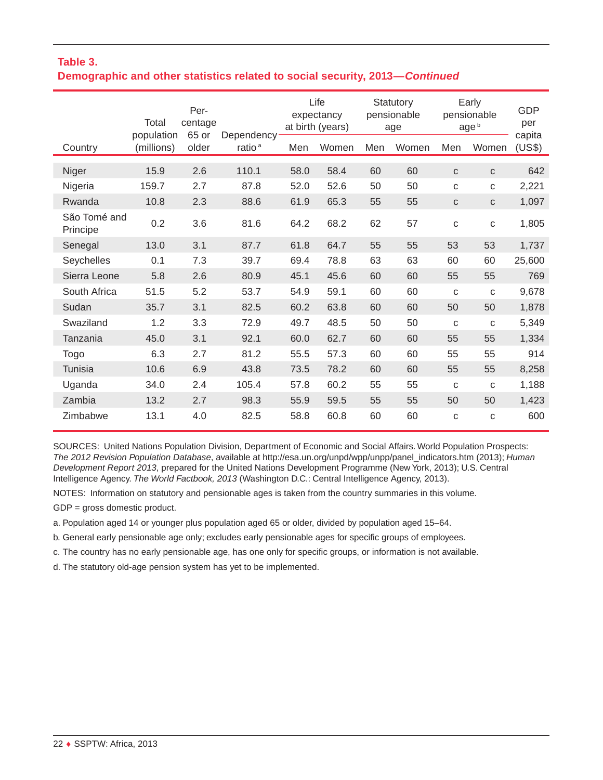# **Table 3. Demographic and other statistics related to social security, 2013—***Continued*

|                          | Total<br>population | Per-<br>centage<br>65 or | Dependency <sup>®</sup> |      | Life<br>expectancy<br>at birth (years) |     | Statutory<br>pensionable<br>age |             | Early<br>pensionable<br>age <sup>b</sup> | <b>GDP</b><br>per<br>capita |
|--------------------------|---------------------|--------------------------|-------------------------|------|----------------------------------------|-----|---------------------------------|-------------|------------------------------------------|-----------------------------|
| Country                  | (millions)          | older                    | ratio <sup>a</sup>      | Men  | Women                                  | Men | Women                           | Men         | Women                                    | (US\$)                      |
| <b>Niger</b>             | 15.9                | 2.6                      | 110.1                   | 58.0 | 58.4                                   | 60  | 60                              | C           | C                                        | 642                         |
| Nigeria                  | 159.7               | 2.7                      | 87.8                    | 52.0 | 52.6                                   | 50  | 50                              | C           | C                                        | 2,221                       |
| Rwanda                   | 10.8                | 2.3                      | 88.6                    | 61.9 | 65.3                                   | 55  | 55                              | $\mathbf C$ | $\mathbf{C}$                             | 1,097                       |
| São Tomé and<br>Principe | 0.2                 | 3.6                      | 81.6                    | 64.2 | 68.2                                   | 62  | 57                              | C           | C                                        | 1,805                       |
| Senegal                  | 13.0                | 3.1                      | 87.7                    | 61.8 | 64.7                                   | 55  | 55                              | 53          | 53                                       | 1,737                       |
| Seychelles               | 0.1                 | 7.3                      | 39.7                    | 69.4 | 78.8                                   | 63  | 63                              | 60          | 60                                       | 25,600                      |
| Sierra Leone             | 5.8                 | 2.6                      | 80.9                    | 45.1 | 45.6                                   | 60  | 60                              | 55          | 55                                       | 769                         |
| South Africa             | 51.5                | 5.2                      | 53.7                    | 54.9 | 59.1                                   | 60  | 60                              | C           | C                                        | 9,678                       |
| Sudan                    | 35.7                | 3.1                      | 82.5                    | 60.2 | 63.8                                   | 60  | 60                              | 50          | 50                                       | 1,878                       |
| Swaziland                | 1.2                 | 3.3                      | 72.9                    | 49.7 | 48.5                                   | 50  | 50                              | C           | C                                        | 5,349                       |
| Tanzania                 | 45.0                | 3.1                      | 92.1                    | 60.0 | 62.7                                   | 60  | 60                              | 55          | 55                                       | 1,334                       |
| Togo                     | 6.3                 | 2.7                      | 81.2                    | 55.5 | 57.3                                   | 60  | 60                              | 55          | 55                                       | 914                         |
| Tunisia                  | 10.6                | 6.9                      | 43.8                    | 73.5 | 78.2                                   | 60  | 60                              | 55          | 55                                       | 8,258                       |
| Uganda                   | 34.0                | 2.4                      | 105.4                   | 57.8 | 60.2                                   | 55  | 55                              | C           | C                                        | 1,188                       |
| Zambia                   | 13.2                | 2.7                      | 98.3                    | 55.9 | 59.5                                   | 55  | 55                              | 50          | 50                                       | 1,423                       |
| Zimbabwe                 | 13.1                | 4.0                      | 82.5                    | 58.8 | 60.8                                   | 60  | 60                              | C           | C                                        | 600                         |

SOURCES: United Nations Population Division, Department of Economic and Social Affairs. World Population Prospects: *The 2012 Revision Population Database*, available at [http://esa.un.org/unpd/wpp/unpp/panel\\_indicators.htm](http://esa.un.org/unpd/wpp/unpp/panel_indicators.htm) (2013); *Human Development Report 2013*, prepared for the United Nations Development Programme (New York, 2013); U.S. Central Intelligence Agency. *The World Factbook, 2013* (Washington D.C.: Central Intelligence Agency, 2013).

NOTES: Information on statutory and pensionable ages is taken from the country summaries in this volume.

GDP = gross domestic product.

a. Population aged 14 or younger plus population aged 65 or older, divided by population aged 15–64.

b. General early pensionable age only; excludes early pensionable ages for specific groups of employees.

c. The country has no early pensionable age, has one only for specific groups, or information is not available.

d. The statutory old-age pension system has yet to be implemented.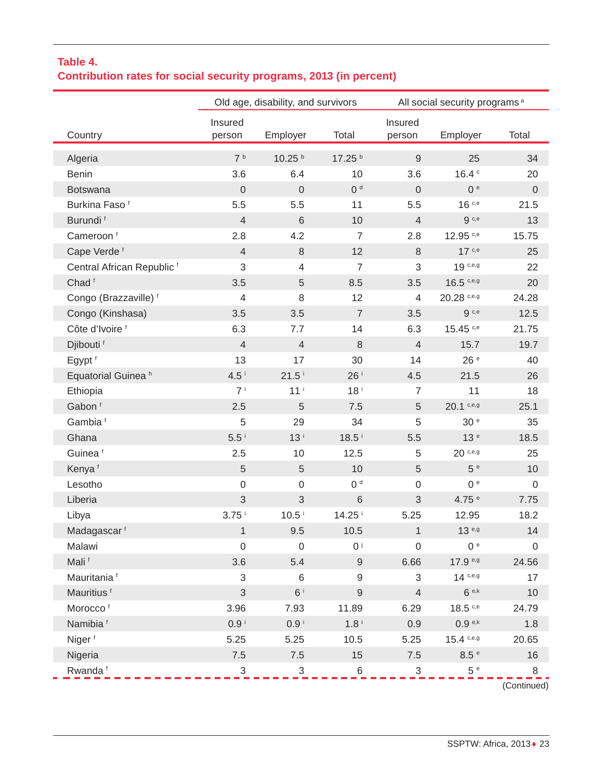# **Table 4. Contribution rates for social security programs, 2013 (in percent)**

|                                       |                           | Old age, disability, and survivors |                     | All social security programs <sup>a</sup> |                  |                  |  |
|---------------------------------------|---------------------------|------------------------------------|---------------------|-------------------------------------------|------------------|------------------|--|
| Country                               | Insured<br>person         | Employer                           | Total               | Insured<br>person                         | Employer         | Total            |  |
| Algeria                               | 7 <sup>b</sup>            | 10.25 b                            | 17.25 <sup>b</sup>  | 9                                         | 25               | 34               |  |
| <b>Benin</b>                          | 3.6                       | 6.4                                | 10                  | 3.6                                       | 16.4C            | 20               |  |
| <b>Botswana</b>                       | $\mathbf 0$               | $\boldsymbol{0}$                   | 0 <sup>d</sup>      | $\boldsymbol{0}$                          | 0 <sup>e</sup>   | $\boldsymbol{0}$ |  |
| Burkina Faso <sup>f</sup>             | 5.5                       | 5.5                                | 11                  | 5.5                                       | 16c.e.           | 21.5             |  |
| Burundi <sup>f</sup>                  | $\overline{4}$            | $\,$ 6 $\,$                        | 10                  | $\overline{4}$                            | 9 c.e            | 13               |  |
| Cameroon <sup>f</sup>                 | 2.8                       | 4.2                                | $\overline{7}$      | 2.8                                       | 12.95 c,e        | 15.75            |  |
| Cape Verde <sup>f</sup>               | $\overline{4}$            | $\,8\,$                            | 12                  | $\,8\,$                                   | $17$ c,e         | 25               |  |
| Central African Republic <sup>f</sup> | $\sqrt{3}$                | $\overline{4}$                     | $\overline{7}$      | 3                                         | $19$ c,e,g       | 22               |  |
| Chad <sup>f</sup>                     | 3.5                       | $\mathbf 5$                        | 8.5                 | 3.5                                       | $16.5$ c,e,g     | 20               |  |
| Congo (Brazzaville) <sup>f</sup>      | $\overline{4}$            | 8                                  | 12                  | 4                                         | 20.28 c,e,g      | 24.28            |  |
| Congo (Kinshasa)                      | 3.5                       | 3.5                                | $\overline{7}$      | 3.5                                       | 9 c.e            | 12.5             |  |
| Côte d'Ivoire <sup>f</sup>            | 6.3                       | 7.7                                | 14                  | 6.3                                       | $15.45$ c,e      | 21.75            |  |
| Djibouti <sup>f</sup>                 | $\overline{4}$            | $\overline{4}$                     | $\,8\,$             | $\overline{4}$                            | 15.7             | 19.7             |  |
| Egypt <sup>f</sup>                    | 13                        | 17                                 | 30                  | 14                                        | 26 <sup>e</sup>  | 40               |  |
| Equatorial Guinea <sup>h</sup>        | $4.5^{\mathrm{i}}$        | $21.5$ <sup>i</sup>                | 26 <sup>i</sup>     | 4.5                                       | 21.5             | 26               |  |
| Ethiopia                              | 7 <sup>i</sup>            | 11 <sup>i</sup>                    | 18 <sup>i</sup>     | $\overline{7}$                            | 11               | 18               |  |
| Gabon <sup>f</sup>                    | 2.5                       | $\overline{5}$                     | 7.5                 | $\sqrt{5}$                                | 20.1 c,e,g       | 25.1             |  |
| Gambia <sup>f</sup>                   | 5                         | 29                                 | 34                  | 5                                         | 30 <sup>e</sup>  | 35               |  |
| Ghana                                 | 5.5                       | 13 <sup>i</sup>                    | $18.5$ <sup>i</sup> | 5.5                                       | 13 <sup>e</sup>  | 18.5             |  |
| Guinea <sup>f</sup>                   | 2.5                       | 10                                 | 12.5                | 5                                         | $20$ c,e,g       | 25               |  |
| Kenya <sup>f</sup>                    | $\sqrt{5}$                | 5                                  | 10                  | 5                                         | 5e               | 10               |  |
| Lesotho                               | $\boldsymbol{0}$          | $\boldsymbol{0}$                   | 0 <sup>d</sup>      | $\boldsymbol{0}$                          | 0 <sup>e</sup>   | $\boldsymbol{0}$ |  |
| Liberia                               | $\sqrt{3}$                | 3                                  | $\,6$               | 3                                         | 4.75 e           | 7.75             |  |
| Libya                                 | $3.75$ <sup>i</sup>       | $10.5$ <sup>i</sup>                | 14.25               | 5.25                                      | 12.95            | 18.2             |  |
| Madagascar <sup>f</sup>               | 1                         | 9.5                                | 10.5                | 1                                         | 13e.9            | 14               |  |
| Malawi                                | $\boldsymbol{0}$          | $\boldsymbol{0}$                   | 0 <sup>j</sup>      | $\boldsymbol{0}$                          | 0 <sup>e</sup>   | $\mathbf 0$      |  |
| Mali <sup>f</sup>                     | 3.6                       | 5.4                                | $\hbox{9}$          | 6.66                                      | 17.9 e,g         | 24.56            |  |
| Mauritania <sup>f</sup>               | $\sqrt{3}$                | 6                                  | $\mathsf 9$         | 3                                         | $14$ c,e,g       | 17               |  |
| Mauritius <sup>f</sup>                | 3                         | $6^{\mathrm{i}}$                   | $\mathsf 9$         | $\overline{4}$                            | 6e, k            | 10               |  |
| Morocco <sup>f</sup>                  | 3.96                      | 7.93                               | 11.89               | 6.29                                      | 18.5 c.e         | 24.79            |  |
| Namibia <sup>f</sup>                  | 0.9 <sup>i</sup>          | 0.9                                | $1.8$ <sup>i</sup>  | 0.9                                       | $0.9$ e,k        | 1.8              |  |
| Niger <sup>f</sup>                    | 5.25                      | 5.25                               | 10.5                | 5.25                                      | $15.4$ c,e,g     | 20.65            |  |
| Nigeria                               | 7.5                       | 7.5                                | 15                  | 7.5                                       | 8.5e             | 16               |  |
| Rwanda <sup>f</sup>                   | $\ensuremath{\mathsf{3}}$ | 3                                  | 6                   | 3                                         | $5\,$ $^{\circ}$ | 8                |  |

(Continued)